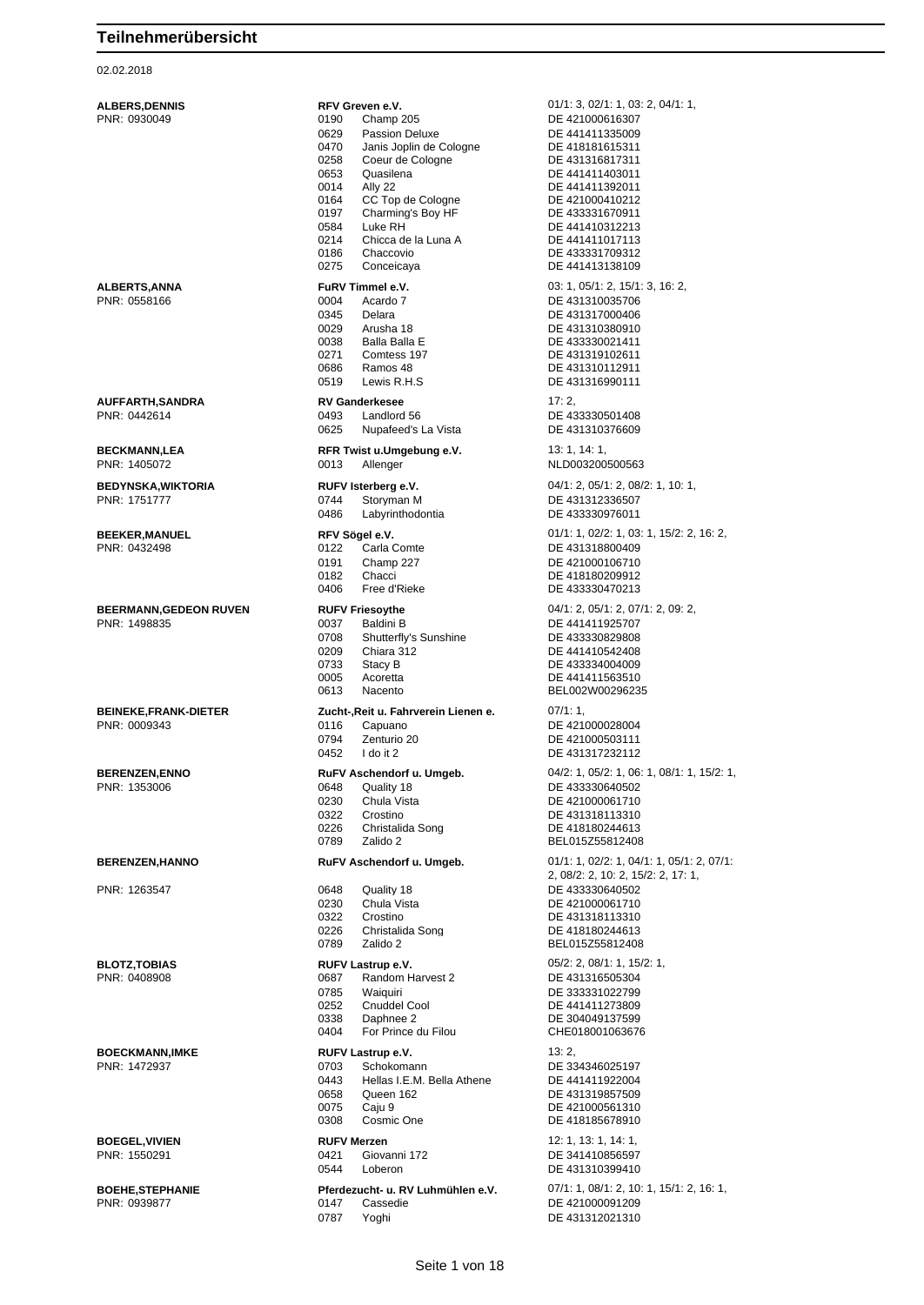### 02.02.2018

| <b>ALBERS,DENNIS</b><br>PNR: 0930049   | RFV Greven e.V.<br>0190<br>Champ 205                                                                                                                                                                                                                                                        | 01/1: 3, 02/1: 1, 03: 2, 04/1: 1,<br>DE 421000616307                                                                                                                                                          |
|----------------------------------------|---------------------------------------------------------------------------------------------------------------------------------------------------------------------------------------------------------------------------------------------------------------------------------------------|---------------------------------------------------------------------------------------------------------------------------------------------------------------------------------------------------------------|
|                                        | 0629<br><b>Passion Deluxe</b><br>0470<br>Janis Joplin de Cologne<br>0258<br>Coeur de Cologne<br>0653<br>Quasilena<br>0014<br>Ally 22<br>CC Top de Cologne<br>0164<br>Charming's Boy HF<br>0197<br>0584<br>Luke RH<br>0214<br>Chicca de la Luna A<br>Chaccovio<br>0186<br>0275<br>Conceicaya | DE 441411335009<br>DE 418181615311<br>DE 431316817311<br>DE 441411403011<br>DE 441411392011<br>DE 421000410212<br>DE 433331670911<br>DE 441410312213<br>DE 441411017113<br>DE 433331709312<br>DE 441413138109 |
| ALBERTS,ANNA<br>PNR: 0558166           | FuRV Timmel e.V.<br>0004<br>Acardo 7<br>0345<br>Delara<br>0029<br>Arusha 18<br>0038<br>Balla Balla E<br>0271<br>Comtess 197<br>0686<br>Ramos 48<br>0519<br>Lewis R.H.S                                                                                                                      | 03: 1, 05/1: 2, 15/1: 3, 16: 2,<br>DE 431310035706<br>DE 431317000406<br>DE 431310380910<br>DE 433330021411<br>DE 431319102611<br>DE 431310112911<br>DE 431316990111                                          |
| AUFFARTH,SANDRA<br>PNR: 0442614        | <b>RV Ganderkesee</b><br>0493<br>Landlord 56<br>0625<br>Nupafeed's La Vista                                                                                                                                                                                                                 | 17:2,<br>DE 433330501408<br>DE 431310376609                                                                                                                                                                   |
| <b>BECKMANN,LEA</b><br>PNR: 1405072    | RFR Twist u.Umgebung e.V.<br>0013<br>Allenger                                                                                                                                                                                                                                               | 13: 1, 14: 1,<br>NLD003200500563                                                                                                                                                                              |
| BEDYNSKA,WIKTORIA<br>PNR: 1751777      | RUFV Isterberg e.V.<br>0744<br>Storyman M<br>0486<br>Labyrinthodontia                                                                                                                                                                                                                       | 04/1: 2, 05/1: 2, 08/2: 1, 10: 1,<br>DE 431312336507<br>DE 433330976011                                                                                                                                       |
| <b>BEEKER,MANUEL</b><br>PNR: 0432498   | RFV Sögel e.V.<br>0122<br>Carla Comte<br>0191<br>Champ 227<br>0182<br>Chacci<br>0406<br>Free d'Rieke                                                                                                                                                                                        | 01/1: 1, 02/2: 1, 03: 1, 15/2: 2, 16: 2,<br>DE 431318800409<br>DE 421000106710<br>DE 418180209912<br>DE 433330470213                                                                                          |
| BEERMANN,GEDEON RUVEN<br>PNR: 1498835  | <b>RUFV Friesoythe</b><br>0037<br>Baldini B<br>0708<br>Shutterfly's Sunshine<br>0209<br>Chiara 312<br>0733<br>Stacy B<br>0005<br>Acoretta<br>0613<br>Nacento                                                                                                                                | 04/1: 2, 05/1: 2, 07/1: 2, 09: 2,<br>DE 441411925707<br>DE 433330829808<br>DE 441410542408<br>DE 433334004009<br>DE 441411563510<br>BEL002W00296235                                                           |
| BEINEKE,FRANK-DIETER<br>PNR: 0009343   | Zucht-, Reit u. Fahrverein Lienen e.<br>0116<br>Capuano<br>0794<br>Zenturio 20<br>0452<br>I do it 2                                                                                                                                                                                         | 07/1:1,<br>DE 421000028004<br>DE 421000503111<br>DE 431317232112                                                                                                                                              |
| <b>BERENZEN,ENNO</b><br>PNR: 1353006   | RuFV Aschendorf u. Umgeb.<br>0648<br>Quality 18<br>0230<br>Chula Vista<br>0322<br>Crostino<br>0226<br>Christalida Song<br>0789<br>Zalido 2                                                                                                                                                  | 04/2: 1, 05/2: 1, 06: 1, 08/1: 1, 15/2: 1,<br>DE 433330640502<br>DE 421000061710<br>DE 431318113310<br>DE 418180244613<br>BEL015Z55812408                                                                     |
| <b>BERENZEN,HANNO</b>                  | RuFV Aschendorf u. Umgeb.                                                                                                                                                                                                                                                                   | $01/1: 1, 02/2: 1, 04/1: 1, 05/1: 2, 07/1:$<br>2, 08/2: 2, 10: 2, 15/2: 2, 17: 1,                                                                                                                             |
| PNR: 1263547                           | Quality 18<br>0648<br>0230<br>Chula Vista<br>0322<br>Crostino<br>0226<br>Christalida Song<br>0789<br>Zalido 2                                                                                                                                                                               | DE 433330640502<br>DE 421000061710<br>DE 431318113310<br>DE 418180244613<br>BEL015Z55812408                                                                                                                   |
| <b>BLOTZ,TOBIAS</b><br>PNR: 0408908    | RUFV Lastrup e.V.<br>Random Harvest 2<br>0687<br>0785<br>Waiguiri<br>0252<br>Cnuddel Cool<br>Daphnee 2<br>0338<br>0404<br>For Prince du Filou                                                                                                                                               | 05/2: 2, 08/1: 1, 15/2: 1,<br>DE 431316505304<br>DE 333331022799<br>DE 441411273809<br>DE 304049137599<br>CHE018001063676                                                                                     |
| <b>BOECKMANN,IMKE</b><br>PNR: 1472937  | RUFV Lastrup e.V.<br>0703<br>Schokomann<br>Hellas I.E.M. Bella Athene<br>0443<br>0658<br>Queen 162<br>0075<br>Caju 9<br>0308<br>Cosmic One                                                                                                                                                  | 13:2,<br>DE 334346025197<br>DE 441411922004<br>DE 431319857509<br>DE 421000561310<br>DE 418185678910                                                                                                          |
| <b>BOEGEL,VIVIEN</b><br>PNR: 1550291   | <b>RUFV Merzen</b><br>Giovanni 172<br>0421<br>0544<br>Loberon                                                                                                                                                                                                                               | 12: 1, 13: 1, 14: 1,<br>DE 341410856597<br>DE 431310399410                                                                                                                                                    |
| <b>BOEHE,STEPHANIE</b><br>PNR: 0939877 | Pferdezucht- u. RV Luhmühlen e.V.<br>0147<br>Cassedie<br>0787<br>Yoghi                                                                                                                                                                                                                      | $07/1: 1, 08/1: 2, 10: 1, 15/1: 2, 16: 1,$<br>DE 421000091209<br>DE 431312021310                                                                                                                              |
|                                        |                                                                                                                                                                                                                                                                                             |                                                                                                                                                                                                               |

Seite 1 von 18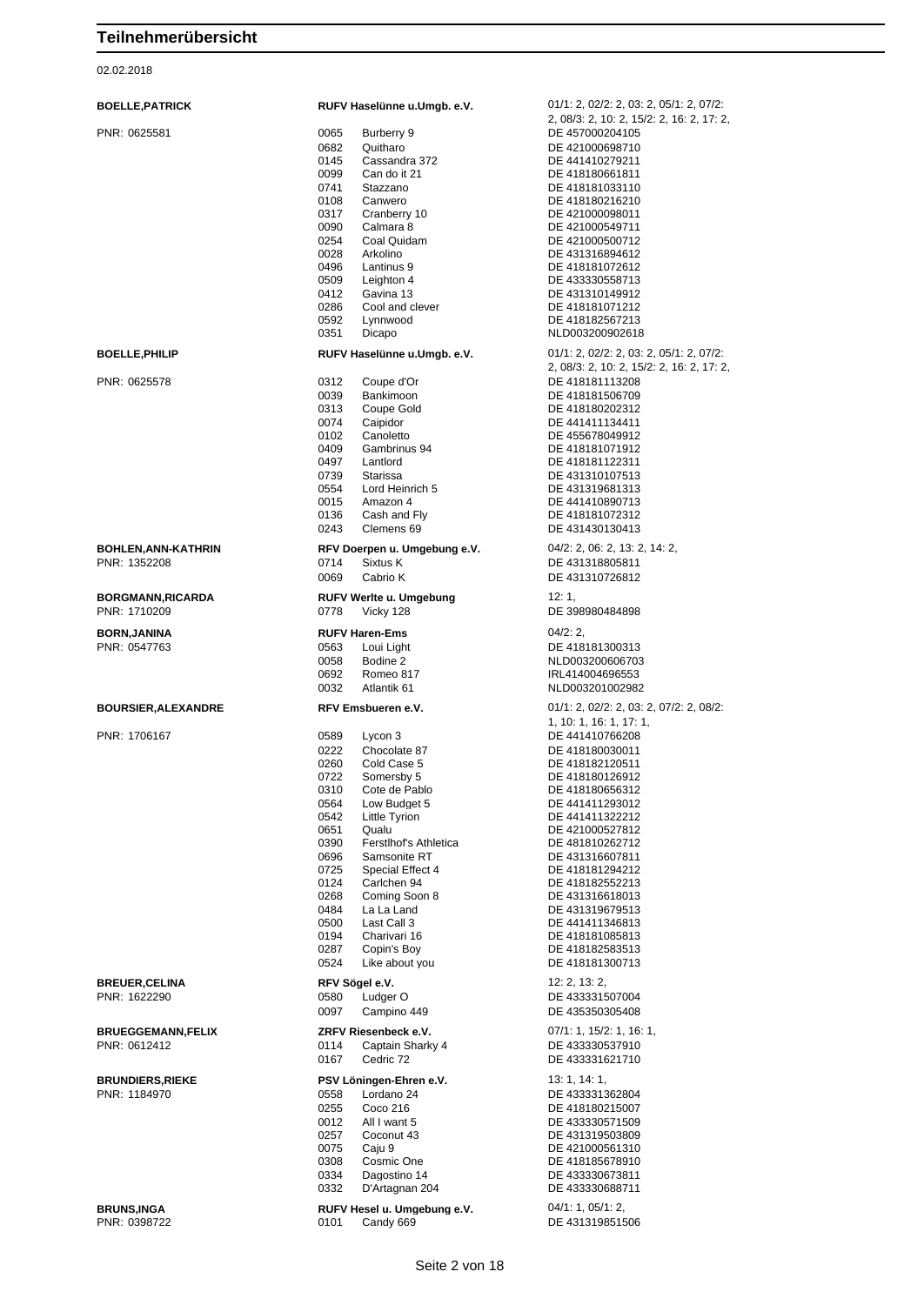| <b>BOELLE, PATRICK</b>                     | RUFV Haselünne u.Umgb. e.V.                                                                                                                                                                                                                                                                                                                                                                                                                | 01/1: 2, 02/2: 2, 03: 2, 05/1: 2, 07/2:<br>2, 08/3: 2, 10: 2, 15/2: 2, 16: 2, 17: 2,                                                                                                                                                                                                                                                                                          |
|--------------------------------------------|--------------------------------------------------------------------------------------------------------------------------------------------------------------------------------------------------------------------------------------------------------------------------------------------------------------------------------------------------------------------------------------------------------------------------------------------|-------------------------------------------------------------------------------------------------------------------------------------------------------------------------------------------------------------------------------------------------------------------------------------------------------------------------------------------------------------------------------|
| PNR: 0625581                               | 0065<br>Burberry 9<br>0682<br>Quitharo<br>0145<br>Cassandra 372<br>0099<br>Can do it 21<br>0741<br>Stazzano<br>0108<br>Canwero<br>0317<br>Cranberry 10<br>0090<br>Calmara 8<br>0254<br>Coal Quidam<br>0028<br>Arkolino<br>0496<br>Lantinus 9<br>0509<br>Leighton 4<br>0412<br>Gavina 13<br>0286<br>Cool and clever<br>0592<br>Lynnwood<br>0351<br>Dicapo                                                                                   | DE 457000204105<br>DE 421000698710<br>DE 441410279211<br>DE 418180661811<br>DE 418181033110<br>DE 418180216210<br>DE 421000098011<br>DE 421000549711<br>DE 421000500712<br>DE 431316894612<br>DE 418181072612<br>DE 433330558713<br>DE 431310149912<br>DE 418181071212<br>DE 418182567213<br>NLD003200902618                                                                  |
| <b>BOELLE, PHILIP</b>                      | RUFV Haselünne u.Umgb. e.V.                                                                                                                                                                                                                                                                                                                                                                                                                | 01/1: 2, 02/2: 2, 03: 2, 05/1: 2, 07/2:                                                                                                                                                                                                                                                                                                                                       |
| PNR: 0625578                               | 0312<br>Coupe d'Or<br>0039<br>Bankimoon<br>0313<br>Coupe Gold<br>0074<br>Caipidor<br>0102<br>Canoletto<br>Gambrinus 94<br>0409<br>0497<br>Lantlord<br>0739<br>Starissa<br>0554<br>Lord Heinrich 5<br>0015<br>Amazon 4<br>0136<br>Cash and Fly<br>0243<br>Clemens 69                                                                                                                                                                        | 2, 08/3: 2, 10: 2, 15/2: 2, 16: 2, 17: 2,<br>DE 418181113208<br>DE 418181506709<br>DE 418180202312<br>DE 441411134411<br>DE 455678049912<br>DE 418181071912<br>DE 418181122311<br>DE 431310107513<br>DE 431319681313<br>DE 441410890713<br>DE 418181072312<br>DE 431430130413                                                                                                 |
| <b>BOHLEN, ANN-KATHRIN</b><br>PNR: 1352208 | RFV Doerpen u. Umgebung e.V.<br>0714<br>Sixtus K<br>0069<br>Cabrio K                                                                                                                                                                                                                                                                                                                                                                       | 04/2: 2, 06: 2, 13: 2, 14: 2,<br>DE 431318805811<br>DE 431310726812                                                                                                                                                                                                                                                                                                           |
| <b>BORGMANN, RICARDA</b><br>PNR: 1710209   | RUFV Werlte u. Umgebung<br>0778<br>Vicky 128                                                                                                                                                                                                                                                                                                                                                                                               | 12:1,<br>DE 398980484898                                                                                                                                                                                                                                                                                                                                                      |
| <b>BORN,JANINA</b><br>PNR: 0547763         | <b>RUFV Haren-Ems</b><br>0563<br>Loui Light<br>0058<br>Bodine 2<br>0692<br>Romeo 817<br>0032<br>Atlantik 61                                                                                                                                                                                                                                                                                                                                | 04/2:2,<br>DE 418181300313<br>NLD003200606703<br>IRL414004696553<br>NLD003201002982                                                                                                                                                                                                                                                                                           |
| <b>BOURSIER, ALEXANDRE</b>                 | RFV Emsbueren e.V.                                                                                                                                                                                                                                                                                                                                                                                                                         | 01/1: 2, 02/2: 2, 03: 2, 07/2: 2, 08/2:                                                                                                                                                                                                                                                                                                                                       |
| PNR: 1706167                               | Lycon 3<br>0589<br>0222<br>Chocolate 87<br>0260<br>Cold Case 5<br>0722<br>Somersby 5<br>0310<br>Cote de Pablo<br>Low Budget 5<br>0564<br>0542<br>Little Tyrion<br>0651<br>Qualu<br>0390<br>Ferstlhof's Athletica<br>0696<br>Samsonite RT<br>0725<br>Special Effect 4<br>0124<br>Carlchen 94<br>Coming Soon 8<br>0268<br>0484<br>La La Land<br>0500<br>Last Call 3<br>0194<br>Charivari 16<br>0287<br>Copin's Boy<br>0524<br>Like about you | 1, 10: 1, 16: 1, 17: 1,<br>DE 441410766208<br>DE 418180030011<br>DE 418182120511<br>DE 418180126912<br>DE 418180656312<br>DE 441411293012<br>DE 441411322212<br>DE 421000527812<br>DE 481810262712<br>DE 431316607811<br>DE 418181294212<br>DE 418182552213<br>DE 431316618013<br>DE 431319679513<br>DE 441411346813<br>DE 418181085813<br>DE 418182583513<br>DE 418181300713 |
| <b>BREUER, CELINA</b><br>PNR: 1622290      | RFV Sögel e.V.<br>0580<br>Ludger O<br>0097<br>Campino 449                                                                                                                                                                                                                                                                                                                                                                                  | 12: 2, 13: 2,<br>DE 433331507004<br>DE 435350305408                                                                                                                                                                                                                                                                                                                           |
| <b>BRUEGGEMANN, FELIX</b><br>PNR: 0612412  | ZRFV Riesenbeck e.V.<br>Captain Sharky 4<br>0114<br>0167<br>Cedric 72                                                                                                                                                                                                                                                                                                                                                                      | 07/1: 1, 15/2: 1, 16: 1,<br>DE 433330537910<br>DE 433331621710                                                                                                                                                                                                                                                                                                                |
| <b>BRUNDIERS, RIEKE</b><br>PNR: 1184970    | PSV Löningen-Ehren e.V.<br>0558<br>Lordano 24<br>0255<br>Coco 216<br>0012<br>All I want 5<br>0257<br>Coconut 43<br>0075<br>Caju 9<br>Cosmic One<br>0308<br>0334<br>Dagostino 14<br>0332<br>D'Artagnan 204                                                                                                                                                                                                                                  | 13: 1, 14: 1,<br>DE 433331362804<br>DE 418180215007<br>DE 433330571509<br>DE 431319503809<br>DE 421000561310<br>DE 418185678910<br>DE 433330673811<br>DE 433330688711                                                                                                                                                                                                         |
| <b>BRUNS, INGA</b><br>PNR: 0398722         | RUFV Hesel u. Umgebung e.V.<br>0101<br>Candy 669                                                                                                                                                                                                                                                                                                                                                                                           | 04/1: 1, 05/1: 2,<br>DE 431319851506                                                                                                                                                                                                                                                                                                                                          |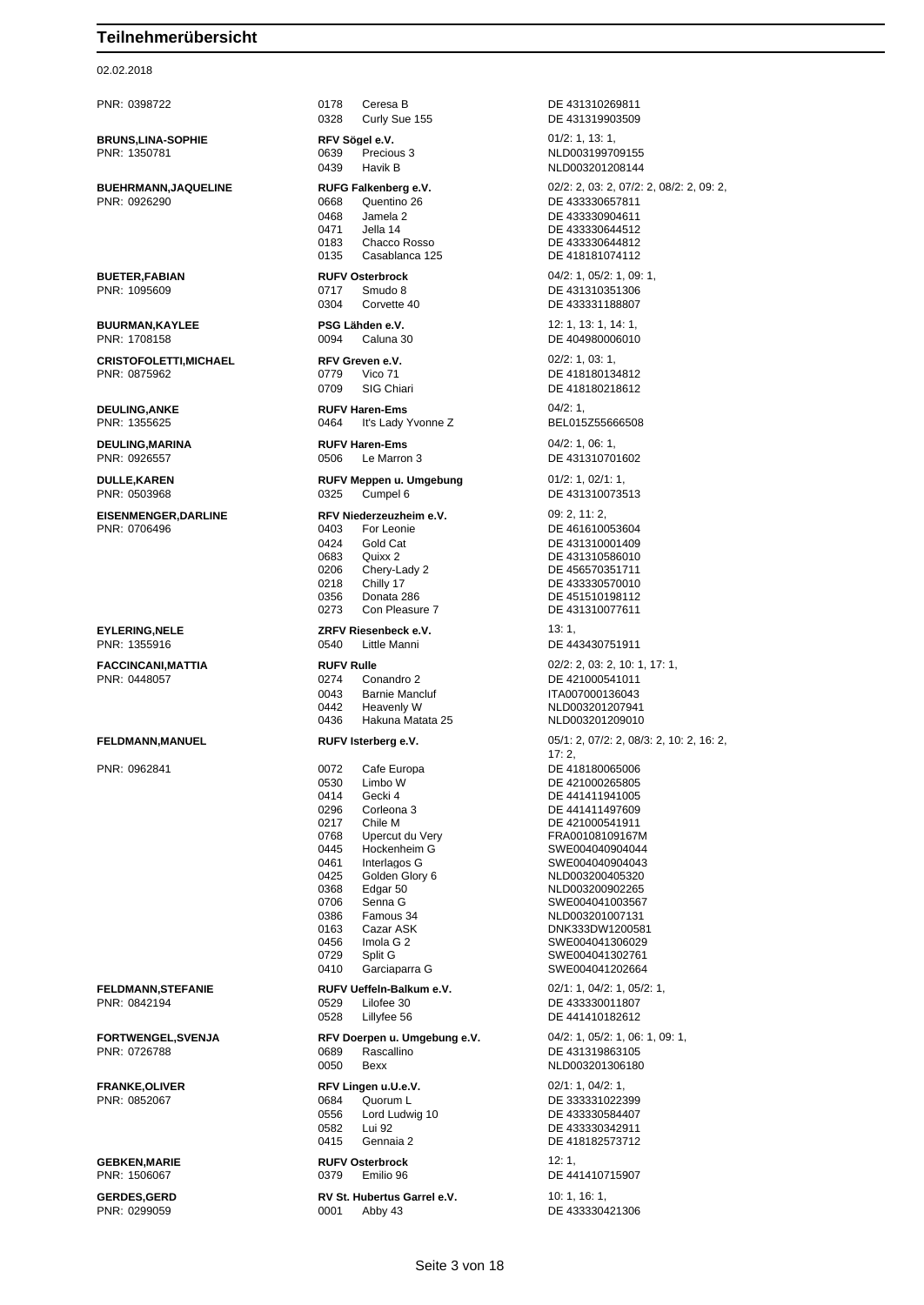02.02.2018

PNR: 0398722 0178 Ceresa B DE 431310269811 0328 Curly Sue 155 DE 431319903509 **BRUNS,LINA-SOPHIE RFV Sögel e.V. REV Sögel e.V.** 01/2: 1, 13: 1, 13: 1, 01<br>PNR: 1350781 **DRIGHT COMPTER** 0639 Precious 3 0639 Precious 3 NLD003199709155 0439 Havik B NLD003201208144 0668 Quentino 26 DE 433330657811 0468 Jamela 2 DE 433330904611 0471 Jella 14 DE 433330644512 0183 Chacco Rosso DE 433330644812<br>0135 Casablanca 125 DE 418181074112 **BUETER,FABIAN RUFV Osterbrock** 04/2: 1, 05/2: 1, 09: 1, 0304 Corvette 40 DE 433331188807 **BUURMAN,KAYLEE PSG Lähden e.V.** 12: 1, 13: 1, 14: 1, PNR: 1708158 0094 Caluna 30 DE 404980006010 **CRISTOFOLETTI,MICHAEL RFV Greven e.V.** 02/2: 1, 03: 1, 0709 SIG Chiari DE 418180218612 **DEULING,ANKE RUFV Haren-Ems** 04/2: 1, 0464 It's Lady Yvonne Z BEL015Z55666508 **DEULING,MARINA RUFV Haren-Ems** 04/2: 1, 06: 1, PNR: 0926557 0506 Le Marron 3 DE 431310701602 **DULLE,KAREN RUFV Meppen u. Umgebung** 01/2: 1, 02/1: 1, PNR: 0503968 0325 Cumpel 6 DE 431310073513 **EISENMENGER,DARLINE RFV Niederzeuzheim e.V.** 09: 2, 11: 2, PNR: 0706496 0403 For Leonie DE 461610053604 0424 Gold Cat DE 431310001409 0683 Quixx 2 DE 431310586010<br>0206 Chery-Lady 2 DE 456570351711 0206 Chery-Lady 2 DE 456570351711<br>0218 Chilly 17 DE 433330570010 0218 Chilly 17 DE 433330570010<br>0356 Donata 286 DE 451510198112 0356 Donata 286 De 451510198112<br>0273 Con Pleasure 7 DE 431310077611 **EYLERING,NELE** *ZRFV Riesenbeck e.V.* **13: 1, 13: 1, 13: 1, 13: 1, 13: 1, 13: 1, 13: 1, 13: 1, 13: 1, 15: 1, 15: 1, 15: 1, 16: 144 FACCINCANI,MATTIA RUFV Rulle** 02/2: 2, 03: 2, 10: 1, 17: 1, 0274 Conandro 2 DE 421000541011 0043 Barnie Mancluf ITA007000136043 0442 Heavenly W NLD003201207941 0436 Hakuna Matata 25 NLD003201209010 PNR: 0962841 0072 Cafe Europa DE 418180065006 0530 Limbo W DE 421000265805<br>0414 Gecki 4 DE 441411941005 0414 Gecki 4 DE 441411941005 0296 Corleona 3 DE 441411497609 0217 Chile M<br>0768 Upercut du Very FRA001081091671 0768 Upercut du Very FRA00108109167M<br>0445 Hockenheim G SWF004040904044 0445 Hockenheim G SWE004040904044 0461 Interlagos G SWE004040904043 0368 Edgar 50 NED003200902265 0706 Senna G SWE004041003567 0386 Famous 34 NLD003201007131 0163 Cazar ASK DNK333DW1200581 0456 Imola G 2 SWE004041306029 0729 Split G SWE004041302761 0410 Garciaparra G SWE004041202664 **FELDMANN,STEFANIE RUFV Ueffeln-Balkum e.V.** 02/1: 1, 04/2: 1, 05/2: 1, PNR: 0842194 0529 Lilofee 30 DE 433330011807 0528 Lillyfee 56 DE 441410182612 PNR: 0726788 0689 Rascallino DE 431319863105 0050 Bexx NLD003201306180 **FRANKE,OLIVER REV Lingen u.U.e.V.** 02/1: 1, 04/2: 1, 04/2: 1, 05/2: 1, 05/2: 1, 05/2: 1, 05/2: 1, 05/2: 1, 05/2: 1, 05/2: 1, 05/2: 1, 05/2: 1, 05/2: 1, 05/2: 1, 05/2: 1, 06/2: 1, 06/2: 1, 06/2: 1, 05/2: 1, 05/2: 1, 05/2 0684 Quorum L<br>0556 Lord Ludwig 10 DE 433330584407 0556 Lord Ludwig 10 DE 433330584407 0415 Gennaia 2 DE 418182573712 **GEBKEN,MARIE RUFV Osterbrock** 12: 1, 0379 Emilio 96 DE 441410715907

0001 Abby 43

**BUEHRMANN,JAQUELINE RUFG Falkenberg e.V.** 02/2: 2, 03: 2, 07/2: 2, 08/2: 2, 09: 2, 09: 2, 09: 2, 09: 2, 09: 2, 09: 2, 09: 2, 09: 2, 09: 2, 09: 2, 09: 2, 09: 2, 09: 2, 09: 2, 09: 2, 09: 2, 09: 2, 09: 2, 09: 2, 09: 2, 09: DE 418181074112 DE 431310351306 DE 418180134812 DE 431310077611 DE 443430751911 **FELDMANN,MANUEL RUFV Isterberg e.V.** 05/1: 2, 07/2: 2, 08/3: 2, 10: 2, 16: 2,  $17:2$ NLD003200405320 **FORTWENGEL,SVENJA RFV Doerpen u. Umgebung e.V.** 04/2: 1, 05/2: 1, 06: 1, 09: 1, DE 433330342911 **GERDES,GERD RV St. Hubertus Garrel e.V.** 10: 1, 16: 1, 16: 1, 19: 1, 19: 1, 19: 1, 19: 1, 19: 1, 19: 1, 19: 1, 19: 1, 19: 1, 19: 1, 19: 1, 19: 1, 19: 1, 19: 1, 19: 1, 19: 1, 19: 1, 19: 1, 19: 1, 19: 1, 19: 1, 19: 1, 19: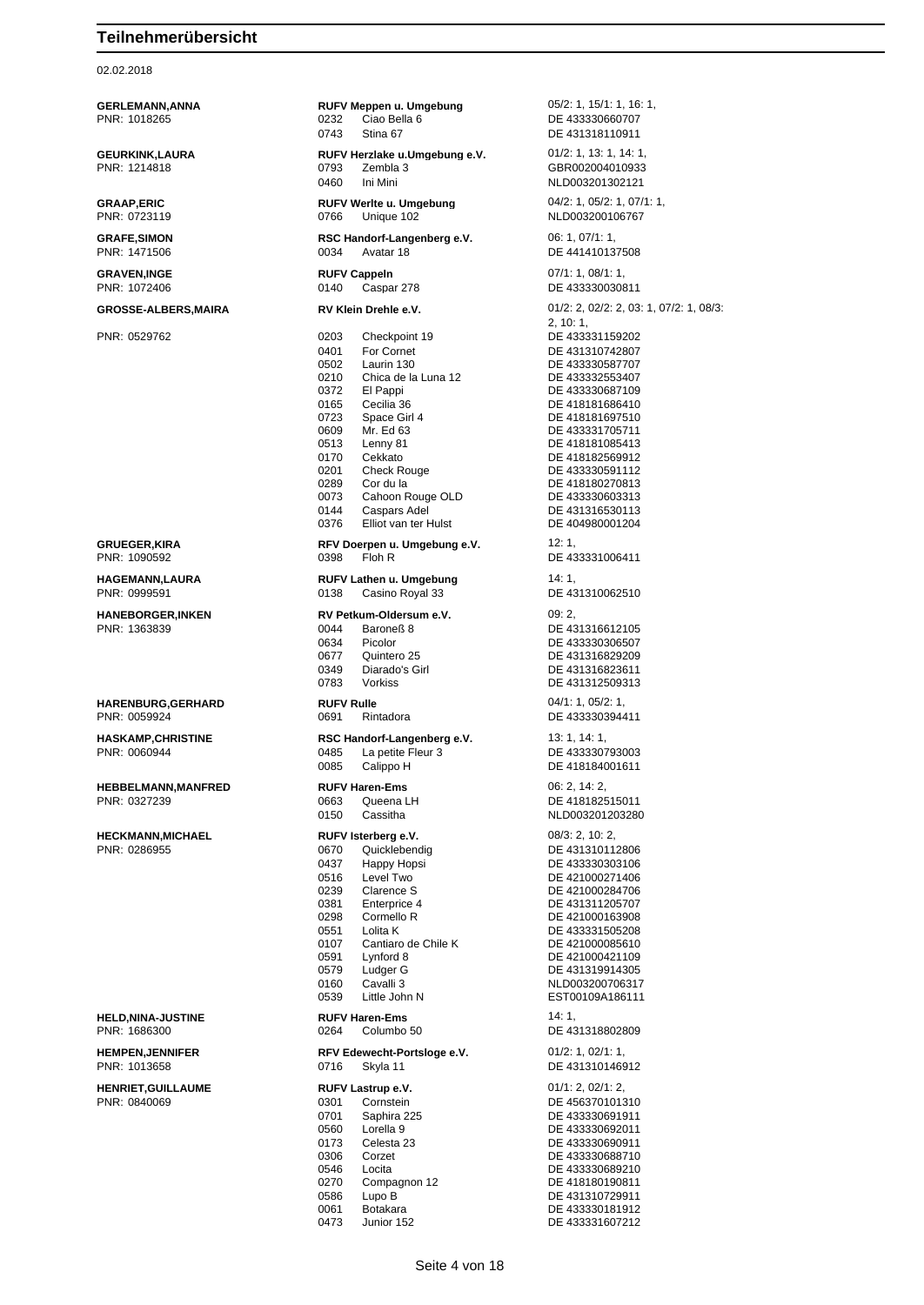02.02.2018

**GERLEMANN,ANNA RUFV Meppen u. Umgebung** 05/2: 1, 15/1: 1, 16: 1, 16: 1, 16: 1, 16: 1, 16: 1, 16: 1, 16: 1, 16: 1, 16: 1, 16: 1, 16: 1, 16: 1, 16: 1, 16: 1, 16: 1, 16: 1, 16: 1, 16: 1, 16: 1, 16: 1, 1, 16: 1, 1, 16: 1, 1 PNR: 1018265 0232 Ciao Bella 6 DE 433330660707 0743 Stina 67 DE 431318110911 **GEURKINK,LAURA RUFV Herzlake u.Umgebung e.V.** 01/2: 1, 13: 1, 14: 1, PNR: 1214818 0793 Zembla 3 GBR002004010933 0460 Ini Mini 2000 2001 2010 NLD003201302121 **GRAAP,ERIC RUFV Werlte u. Umgebung** 04/2: 1, 05/2: 1, 07/1: 1, PNR: 0723119 0766 Unique 102 NLD003200106767 **GRAFE, SIMON RSC Handorf-Langenberg e.V.** 06: 1, 07/1: 1, 08: 1, 07/1: 1, 08: 1, 07/1: 1, 06: 1, 07/1: 1, 08: 0034 Avatar 18 0034 Avatar 18 DE 441410137508 **GRAVEN,INGE RUFV Cappeln** 07/1: 1, 08/1: 1, PNR: 1072406 0140 Caspar 278 DE 433330030811 **GROSSE-ALBERS,MAIRA RV Klein Drehle e.V.** 01/2: 2, 02/2: 2, 03: 1, 07/2: 1, 08/3: PNR: 0529762 0203 Checkpoint 19 DE 433331159202 0401 For Cornet DE 431310742807 0502 Laurin 130<br>
0210 Chica de la Luna 12 DE 433332553407 0210 Chica de la Luna 12<br>0372 El Pappi El Pappi DE 433330687109 0165 Cecilia 36 DE 418181686410 0723 Space Girl 4 DE 418181697510<br>0609 Mr. Ed 63 DE 433331705711 0609 Mr. Ed 63 DE 433331705711<br>0513 Lenny 81 DE 418181085413 0170 Cekkato DE 418182569912<br>0201 Check Rouge DE 433330591112 0201 Check Rouge DE 433330591112<br>0289 Cor du la de DE 418180270813 0289 Cor du la DE 418180270813 Cahoon Rouge OLD<br>Caspars Adel 0144 Caspars Adel Cassus DE 431316530113<br>0376 Elliot van ter Hulst DE 404980001204 0376 Elliot van ter Hulst **GRUEGER,KIRA RFV Doerpen u. Umgebung e.V.** 12: 1, **HAGEMANN,LAURA RUFV Lathen u. Umgebung** 14: 1, PNR: 0999591 0138 Casino Royal 33 DE 431310062510 **HANEBORGER,INKEN RV Petkum-Oldersum e.V.** 09: 2, PNR: 1363839 0044 Baroneß 8 DE 431316612105 0634 Picolor **DE 433330306507**<br>0677 Quintero 25 **DE 431316829209** 0677 Quintero 25 DE 431316829209<br>0349 Diarado's Girl DE 431316823611 0349 Diarado's Girl DE 431316823611<br>19783 Vorkiss Corp. 2012 DE 431312509313 **HARENBURG,GERHARD RUFV Rulle** 04/1: 1, 05/2: 1, PNR: 0059924 0691 Rintadora DE 433330394411 **HASKAMP, CHRISTINE RSC Handorf-Langenberg e.V.** 13: 1, 14: 1, 14: 1, 19: 1, 14: 1, 19: 1, 14: 1, 19: 1, 14: 1, 19: 1, 19: 1, 19: 1, 19: 1, 19: 1, 19: 1, 19: 1, 19: 1, 19: 1, 19: 1, 19: 1, 19: 1, 19: 1, 19: 1, 19: 1, 19: PNR: 0060944 0485 La petite Fleur 3 DE 433330793003 0085 Calippo H DE 418184001611 **HEBBELMANN,MANFRED RUFV Haren-Ems** 06: 2, 14: 2, 0150 Cassitha NLD003201203280 **HECKMANN,MICHAEL RUFV Isterberg e.V.** 08/3: 2, 10: 2, 0670 Quicklebendig DE 431310112806 0437 Happy Hopsi DE 433330303106<br>0516 Level Two DE 421000271406 0239 Clarence S<br>
0381 Enterprice 4 DE 431311205707 0381 Enterprice 4 DE 431311205707<br>0298 Cormello R DE 421000163908 0298 Cormello R DE 421000163908 0551 Lolita K DE 433331505208 Cantiaro de Chile K 0591 Lynford 8 DE 421000421109<br>0579 Ludger G DE 431319914305 0579 Ludger G DE 431319914305<br>0160 Cavalli 3 DE 431319914305 0160 Cavalli 3 NLD003200706317<br>0539 Little John N EST00109A186111 **HELD,NINA-JUSTINE RUFV Haren-Ems** 14: 1, PNR: 1686300 0264 Columbo 50 DE 431318802809 **HEMPEN,JENNIFER RFV Edewecht-Portsloge e.V.** 01/2: 1, 02/1: 1, 0716 Skyla 11 DE 431310146912 **HENRIET,GUILLAUME RUFV Lastrup e.V.** 01/1: 2, 02/1: 2, PNR: 0840069 0301 Cornstein DE 456370101310 0701 Saphira 225 DE 433330691911 0560 Lorella 9 DE 433330692011 0173 Celesta 23 DE 433330690911 0306 Corzet DE 433330688710 0546 Locita DE 433330689210 0586 Lupo B DE 431310729911 0061 Botakara DE 433330181912

2, 10: 1, DE 418181085413 DE 433331006411 DE 431312509313 DE 418182515011 DE 421000271406 EST00109A186111 DE 418180190811

0473 Junior 152 DE 433331607212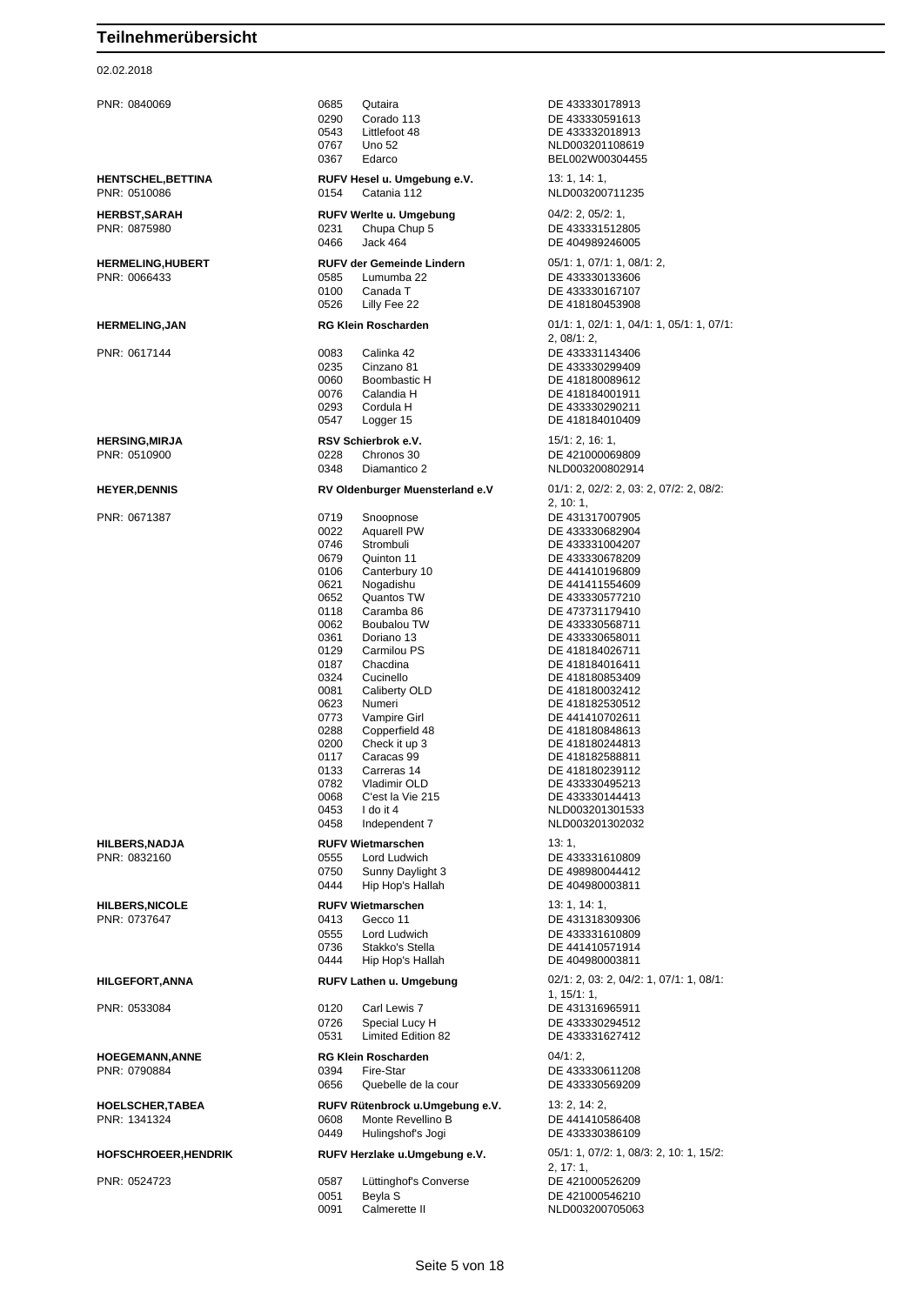#### 02.02.2018

| <b>HILBERS,NADJA</b> |  |
|----------------------|--|
| PNR: 0832160         |  |

PNR: 0840069 0685 Qutaira DE 433330178913 0290 Corado 113 DE 433330591613 0543 Littlefoot 48 DE 433332018913 0767 Uno 52 NLD003201108619 0367 Edarco BEL002W00304455 **HENTSCHEL,BETTINA RUFV Hesel u. Umgebung e.V.** 13: 1, 14: 1, PNR: 0510086 0154 Catania 112 NLD003200711235 **HERBST,SARAH RUFV Werlte u. Umgebung** 04/2: 2, 05/2: 1, PNR: 0875980 0231 Chupa Chup 5 DE 433331512805 0466 Jack 464 DE 404989246005 **HERMELING,HUBERT RUFV der Gemeinde Lindern** 05/1: 1, 07/1: 1, 08/1: 2, PNR: 0066433 0585 Lumumba 22 DE 433330133606 0100 Canada T DE 433330167107 0526 Lilly Fee 22 DE 418180453908 **HERMELING,JAN RG Klein Roscharden** 01/1: 1, 02/1: 1, 04/1: 1, 05/1: 1, 07/1: PNR: 0617144 0083 Calinka 42 DE 433331143406 0235 Cinzano 81 DE 433330299409 0060 Boombastic H DE 418180089612 0076 Calandia H DE 418184001911 0293 Cordula H DE 433330290211 0547 Logger 15 DE 418184010409 **HERSING,MIRJA RSV Schierbrok e.V.** 15/1: 2, 16: 1,<br>PNR: 0510900 **RSV SCHIER 10228** Chronos 30 **RE-421000069809** PNR: 0510900 0228 Chronos 30 DE 421000069809 0348 Diamantico 2 NLD003200802914 **HEYER,DENNIS RV Oldenburger Muensterland e.V** 01/1: 2, 02/2: 2, 03: 2, 07/2: 2, 08/2: PNR: 0671387 0719 Snoopnose DE 431317007905 0022 Aquarell PW DE 433330682904<br>0746 Strombuli DE 433331004207 0746 Strombuli DE 433331004207<br>0679 Quinton 11 DE 433330678209 Quinton 11 DE 433330678209 0106 Canterbury 10 DE 441410196809 0621 Nogadishu DE 441411554609 0118 Caramba 86 DE 473731179410<br>0062 Boubalou TW DE 433330568711 0062 Boubalou TW DE 433330568711 0361 Doriano 13 DE 433330658011 0129 Carmilou PS DE 418184026711 0187 Chacdina DE 418184016411<br>0324 Cucinello DE 418180853409 0081 Caliberty OLD DE 418180032412<br>0623 Numeri DE 418182530512 0623 Numeri 1980 105230512<br>1972 - University DE 441410702611 0773 Vampire Girl DE 441410702611 0288 Copperfield 48 DE 418180848613 0117 Caracas 99 DE 418182588811<br>0133 Carreras 14 DE 418180239112 0133 Carreras 14 DE 418180239112<br>0782 Vladimir OLD DE 433330495213 0782 Vladimir OLD DE 433330495213 0068 C'est la Vie 215 DE 433330144413 1 do it 4 NLD003201301533 0458 Independent 7 NLD003201302032 **RUFV Wietmarschen** 13: 1, 0555 Lord Ludwich DE 433331610809 0750 Sunny Daylight 3 DE 498980044412 0444 Hip Hop's Hallah DE 404980003811 **HILBERS,NICOLE RUFV Wietmarschen** 13: 1, 14: 1,<br>PNR: 0737647 **PNR: 0737647** 0413 Gecco 11 0413 Gecco 11 DE 431318309306 0555 Lord Ludwich DE 433331610809<br>0736 Stakko's Stella DE 441410571914 0736 Stakko's Stella DE 441410571914<br>1944 Hip Hop's Hallah DE 404980003811 **HILGEFORT,ANNA RUFV Lathen u. Umgebung** 02/1: 2, 03: 2, 04/2: 1, 07/1: 1, 08/1: PNR: 0533084 0120 Carl Lewis 7 DE 431316965911 0726 Special Lucy H DE 433330294512<br>0531 Limited Edition 82 DE 433331627412 **HOEGEMANN,ANNE RG Klein Roscharden** 04/1: 2, PNR: 0790884 0394 Fire-Star DE 433330611208 0656 Quebelle de la cour DE 433330569209 **HOELSCHER,TABEA RUFV Rütenbrock u.Umgebung e.V.** 13: 2, 14: 2, PNR: 1341324 0608 Monte Revellino B DE 441410586408 0449 Hulingshof's Jogi DE 433330386109 **HOFSCHROEER,HENDRIK RUFV Herzlake u.Umgebung e.V.** 05/1: 1, 07/2: 1, 08/3: 2, 10: 1, 15/2:

0051 Beyla S DE 421000546210 0091 Calmerette II NLD003200705063

2, 08/1: 2, 2, 10: 1, DE 433330577210 DE 418180853409 DE 418180244813 DE 404980003811 1, 15/1: 1, DE 433331627412  $2, 17: 1$ PNR: 0524723 0587 Lüttinghof's Converse DE 421000526209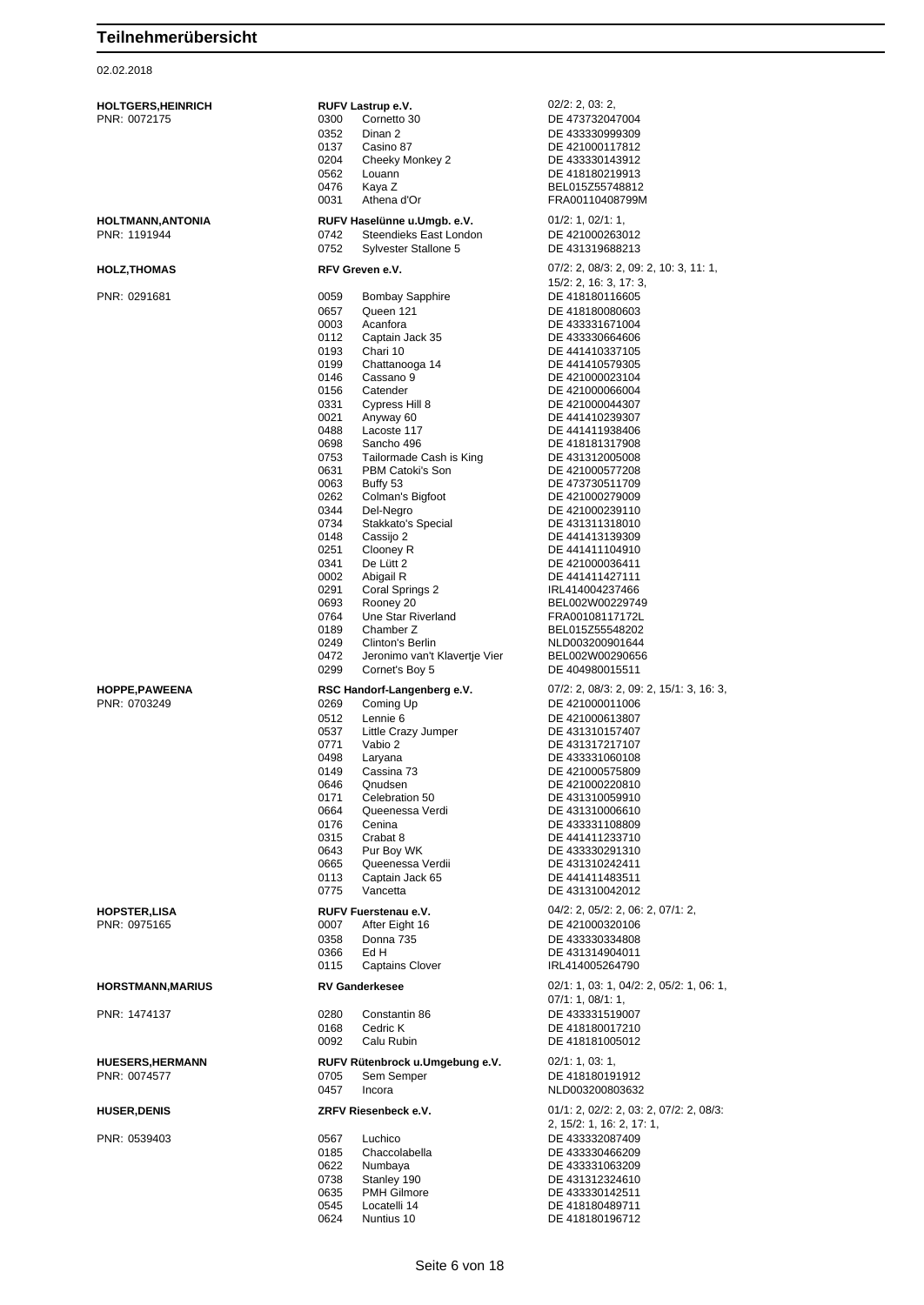| <b>HOLTGERS,HEINRICH</b><br>PNR: 0072175 | RUFV Lastrup e.V.<br>Cornetto 30<br>0300<br>0352<br>Dinan 2<br>0137<br>Casino 87<br>0204<br>Cheeky Monkey 2<br>0562<br>Louann<br>0476<br>Kaya Z<br>0031<br>Athena d'Or                                                                                                                                                                                                                                                                                                                                                                                                                                                                                                                                                                        | $02/2$ : 2, 03: 2,<br>DE 473732047004<br>DE 433330999309<br>DE 421000117812<br>DE 433330143912<br>DE 418180219913<br>BEL015Z55748812<br>FRA00110408799M                                                                                                                                                                                                                                                                                                                                                                                                                                          |
|------------------------------------------|-----------------------------------------------------------------------------------------------------------------------------------------------------------------------------------------------------------------------------------------------------------------------------------------------------------------------------------------------------------------------------------------------------------------------------------------------------------------------------------------------------------------------------------------------------------------------------------------------------------------------------------------------------------------------------------------------------------------------------------------------|--------------------------------------------------------------------------------------------------------------------------------------------------------------------------------------------------------------------------------------------------------------------------------------------------------------------------------------------------------------------------------------------------------------------------------------------------------------------------------------------------------------------------------------------------------------------------------------------------|
| HOLTMANN,ANTONIA<br>PNR: 1191944         | RUFV Haselünne u.Umgb. e.V.<br>0742<br>Steendieks East London<br>0752<br>Sylvester Stallone 5                                                                                                                                                                                                                                                                                                                                                                                                                                                                                                                                                                                                                                                 | 01/2: 1, 02/1: 1,<br>DE 421000263012<br>DE 431319688213                                                                                                                                                                                                                                                                                                                                                                                                                                                                                                                                          |
| HOLZ,THOMAS                              | RFV Greven e.V.                                                                                                                                                                                                                                                                                                                                                                                                                                                                                                                                                                                                                                                                                                                               | $07/2$ : 2, $08/3$ : 2, 09: 2, 10: 3, 11: 1,                                                                                                                                                                                                                                                                                                                                                                                                                                                                                                                                                     |
| PNR: 0291681                             | 0059<br><b>Bombay Sapphire</b><br>0657<br>Queen 121<br>0003<br>Acanfora<br>0112<br>Captain Jack 35<br>0193<br>Chari 10<br>0199<br>Chattanooga 14<br>0146<br>Cassano 9<br>0156<br>Catender<br>0331<br>Cypress Hill 8<br>0021<br>Anyway 60<br>0488<br>Lacoste 117<br>0698<br>Sancho 496<br>0753<br>Tailormade Cash is King<br>0631<br>PBM Catoki's Son<br>0063<br>Buffy 53<br>0262<br>Colman's Bigfoot<br>0344<br>Del-Negro<br>0734<br>Stakkato's Special<br>0148<br>Cassijo 2<br>0251<br>Clooney R<br>0341<br>De Lütt 2<br>0002<br>Abigail R<br>0291<br>Coral Springs 2<br>0693<br>Rooney 20<br>0764<br>Une Star Riverland<br>0189<br>Chamber Z<br>0249<br>Clinton's Berlin<br>0472<br>Jeronimo van't Klavertje Vier<br>0299<br>Cornet's Boy 5 | $15/2$ : 2, 16: 3, 17: 3,<br>DE 418180116605<br>DE 418180080603<br>DE 433331671004<br>DE 433330664606<br>DE 441410337105<br>DE 441410579305<br>DE 421000023104<br>DE 421000066004<br>DE 421000044307<br>DE 441410239307<br>DE 441411938406<br>DE 418181317908<br>DE 431312005008<br>DE 421000577208<br>DE 473730511709<br>DE 421000279009<br>DE 421000239110<br>DE 431311318010<br>DE 441413139309<br>DE 441411104910<br>DE 421000036411<br>DE 441411427111<br>IRL414004237466<br>BEL002W00229749<br>FRA00108117172L<br>BEL015Z55548202<br>NLD003200901644<br>BEL002W00290656<br>DE 404980015511 |
| <b>HOPPE,PAWEENA</b><br>PNR: 0703249     | RSC Handorf-Langenberg e.V.<br>0269<br>Coming Up<br>0512<br>Lennie 6<br>0537<br>Little Crazy Jumper<br>0771<br>Vabio 2<br>0498<br>Laryana<br>0149<br>Cassina 73<br>0646<br>Qnudsen<br>0171<br>Celebration 50<br>0664<br>Queenessa Verdi<br>0176<br>Cenina<br>0315<br>Crabat 8<br>0643<br>Pur Boy WK<br>0665<br>Queenessa Verdii<br>0113<br>Captain Jack 65<br>0775<br>Vancetta                                                                                                                                                                                                                                                                                                                                                                | $07/2$ : 2, $08/3$ : 2, 09: 2, 15/1: 3, 16: 3,<br>DE 421000011006<br>DE 421000613807<br>DE 431310157407<br>DE 431317217107<br>DE 433331060108<br>DE 421000575809<br>DE 421000220810<br>DE 431310059910<br>DE 431310006610<br>DE 433331108809<br>DE 441411233710<br>DE 433330291310<br>DE 431310242411<br>DE 441411483511<br>DE 431310042012                                                                                                                                                                                                                                                      |
| HOPSTER,LISA<br>PNR: 0975165             | RUFV Fuerstenau e.V.<br>0007<br>After Eight 16<br>0358<br>Donna 735<br>0366<br>Ed H<br>0115<br><b>Captains Clover</b>                                                                                                                                                                                                                                                                                                                                                                                                                                                                                                                                                                                                                         | $04/2$ : 2, $05/2$ : 2, 06: 2, 07/1: 2,<br>DE 421000320106<br>DE 433330334808<br>DE 431314904011<br>IRL414005264790                                                                                                                                                                                                                                                                                                                                                                                                                                                                              |
| HORSTMANN,MARIUS                         | <b>RV Ganderkesee</b>                                                                                                                                                                                                                                                                                                                                                                                                                                                                                                                                                                                                                                                                                                                         | 02/1: 1, 03: 1, 04/2: 2, 05/2: 1, 06: 1,                                                                                                                                                                                                                                                                                                                                                                                                                                                                                                                                                         |
| PNR: 1474137                             | 0280<br>Constantin 86<br>0168<br>Cedric K<br>0092<br>Calu Rubin                                                                                                                                                                                                                                                                                                                                                                                                                                                                                                                                                                                                                                                                               | 07/1: 1, 08/1: 1,<br>DE 433331519007<br>DE 418180017210<br>DE 418181005012                                                                                                                                                                                                                                                                                                                                                                                                                                                                                                                       |
| <b>HUESERS,HERMANN</b><br>PNR: 0074577   | RUFV Rütenbrock u.Umgebung e.V.<br>0705<br>Sem Semper<br>0457<br>Incora                                                                                                                                                                                                                                                                                                                                                                                                                                                                                                                                                                                                                                                                       | 02/1: 1, 03: 1,<br>DE 418180191912<br>NLD003200803632                                                                                                                                                                                                                                                                                                                                                                                                                                                                                                                                            |
| <b>HUSER,DENIS</b>                       | ZRFV Riesenbeck e.V.                                                                                                                                                                                                                                                                                                                                                                                                                                                                                                                                                                                                                                                                                                                          | $01/1: 2, 02/2: 2, 03: 2, 07/2: 2, 08/3:$                                                                                                                                                                                                                                                                                                                                                                                                                                                                                                                                                        |
| PNR: 0539403                             | Luchico<br>0567<br>0185<br>Chaccolabella<br>0622<br>Numbaya<br>0738<br>Stanley 190<br>0635<br><b>PMH Gilmore</b><br>0545<br>Locatelli 14<br>0624<br>Nuntius 10                                                                                                                                                                                                                                                                                                                                                                                                                                                                                                                                                                                | 2, 15/2: 1, 16: 2, 17: 1,<br>DE 433332087409<br>DE 433330466209<br>DE 433331063209<br>DE 431312324610<br>DE 433330142511<br>DE 418180489711<br>DE 418180196712                                                                                                                                                                                                                                                                                                                                                                                                                                   |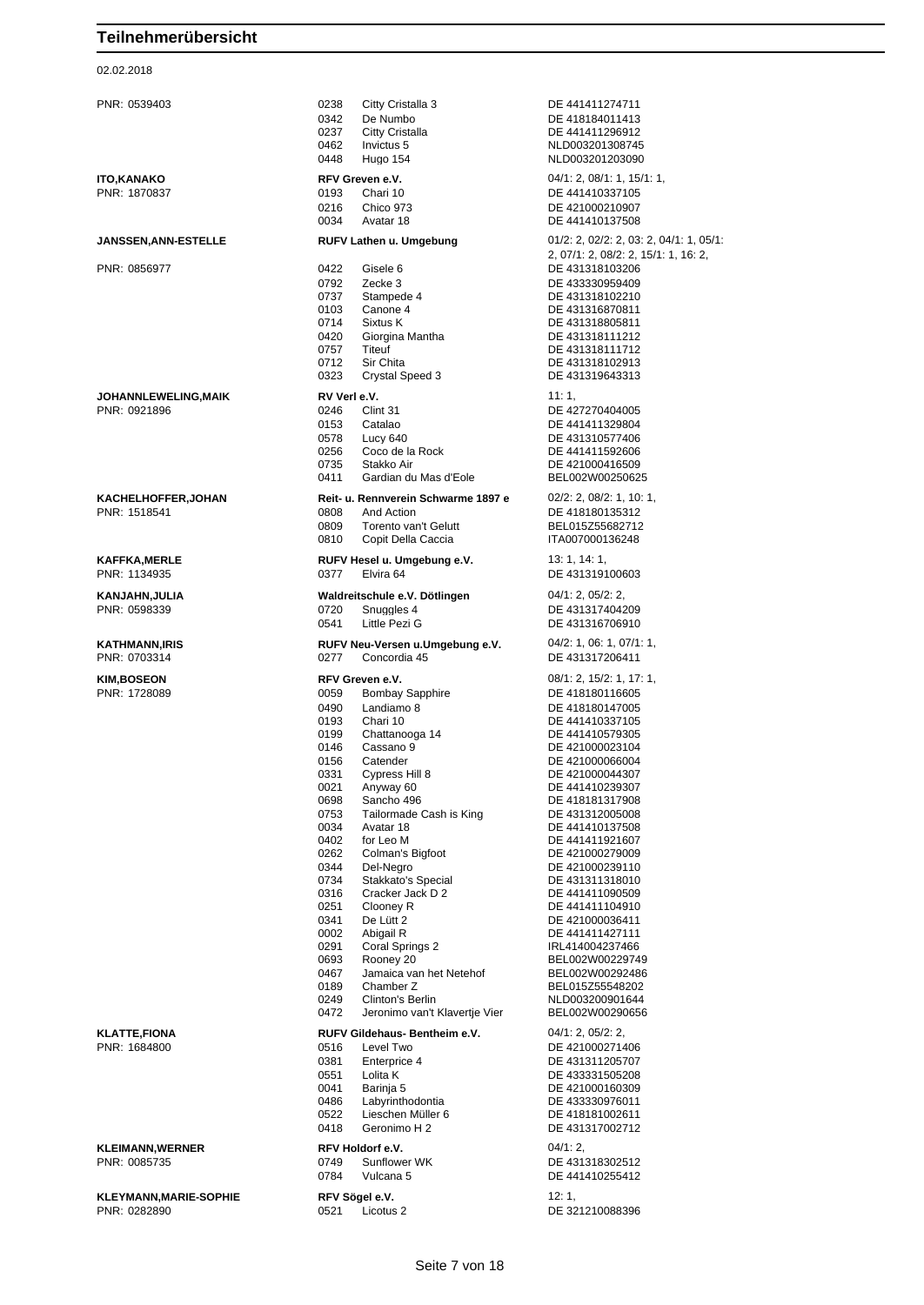#### 02.02.2018

| PNR: 0539403                                  | 0238<br>0342<br>0237<br>0462 | Citty Cristalla 3<br>De Numbo<br>Citty Cristalla<br>Invictus 5 | DE 441411274711<br>DE 418184011413<br>DE 441411296912<br>NLD003201308745              |
|-----------------------------------------------|------------------------------|----------------------------------------------------------------|---------------------------------------------------------------------------------------|
|                                               | 0448                         | Hugo 154                                                       | NLD003201203090                                                                       |
| <b>ITO,KANAKO</b>                             |                              | RFV Greven e.V.                                                | 04/1: 2, 08/1: 1, 15/1: 1,                                                            |
| PNR: 1870837                                  | 0193<br>0216                 | Chari 10<br>Chico 973                                          | DE 441410337105<br>DE 421000210907                                                    |
|                                               | 0034                         | Avatar 18                                                      | DE 441410137508                                                                       |
| <b>JANSSEN, ANN-ESTELLE</b>                   |                              | RUFV Lathen u. Umgebung                                        | $01/2$ : 2, $02/2$ : 2, 03: 2, 04/1: 1, 05/1:<br>2, 07/1: 2, 08/2: 2, 15/1: 1, 16: 2, |
| PNR: 0856977                                  | 0422                         | Gisele 6                                                       | DE 431318103206                                                                       |
|                                               | 0792                         | Zecke 3                                                        | DE 433330959409                                                                       |
|                                               | 0737<br>0103                 | Stampede 4<br>Canone 4                                         | DE 431318102210<br>DE 431316870811                                                    |
|                                               | 0714                         | Sixtus K                                                       | DE 431318805811                                                                       |
|                                               | 0420                         | Giorgina Mantha                                                | DE 431318111212                                                                       |
|                                               | 0757<br>0712                 | Titeuf<br>Sir Chita                                            | DE 431318111712<br>DE 431318102913                                                    |
|                                               | 0323                         | Crystal Speed 3                                                | DE 431319643313                                                                       |
| JOHANNLEWELING, MAIK                          | RV Verl e.V.                 |                                                                | 11:1,                                                                                 |
| PNR: 0921896                                  | 0246                         | Clint 31                                                       | DE 427270404005                                                                       |
|                                               | 0153                         | Catalao                                                        | DE 441411329804                                                                       |
|                                               | 0578<br>0256                 | Lucy 640<br>Coco de la Rock                                    | DE 431310577406<br>DE 441411592606                                                    |
|                                               | 0735                         | Stakko Air                                                     | DE 421000416509                                                                       |
|                                               | 0411                         | Gardian du Mas d'Eole                                          | BEL002W00250625                                                                       |
| <b>KACHELHOFFER, JOHAN</b>                    |                              | Reit- u. Rennverein Schwarme 1897 e                            | $02/2$ : 2, $08/2$ : 1, 10: 1,                                                        |
| PNR: 1518541                                  | 0808                         | And Action                                                     | DE 418180135312                                                                       |
|                                               | 0809<br>0810                 | Torento van't Gelutt<br>Copit Della Caccia                     | BEL015Z55682712<br>ITA007000136248                                                    |
| <b>KAFFKA,MERLE</b>                           |                              | RUFV Hesel u. Umgebung e.V.                                    | 13: 1, 14: 1,                                                                         |
| PNR: 1134935                                  | 0377                         | Elvira 64                                                      | DE 431319100603                                                                       |
| KANJAHN,JULIA<br>PNR: 0598339                 | 0720                         | Waldreitschule e.V. Dötlingen<br>Snuggles 4                    | 04/1: 2, 05/2: 2,<br>DE 431317404209                                                  |
|                                               | 0541                         | Little Pezi G                                                  | DE 431316706910                                                                       |
| <b>KATHMANN, IRIS</b>                         |                              | RUFV Neu-Versen u.Umgebung e.V.                                | $04/2$ : 1, 06: 1, 07/1: 1,                                                           |
| PNR: 0703314                                  | 0277                         | Concordia 45                                                   | DE 431317206411                                                                       |
| <b>KIM, BOSEON</b>                            |                              | RFV Greven e.V.                                                | 08/1: 2, 15/2: 1, 17: 1,                                                              |
| PNR: 1728089                                  | 0059                         | <b>Bombay Sapphire</b>                                         | DE 418180116605                                                                       |
|                                               | 0490                         | Landiamo 8                                                     | DE 418180147005                                                                       |
|                                               | 0193                         | Chari 10                                                       | DE 441410337105                                                                       |
|                                               | 0199<br>0146                 | Chattanooga 14<br>Cassano 9                                    | DE 441410579305<br>DE 421000023104                                                    |
|                                               | 0156                         | Catender                                                       | DE 421000066004                                                                       |
|                                               | 0331                         | Cypress Hill 8                                                 | DE 421000044307                                                                       |
|                                               | 0021<br>0698                 | Anyway 60<br>Sancho 496                                        | DE 441410239307<br>DE 418181317908                                                    |
|                                               | 0753                         | Tailormade Cash is King                                        | DE 431312005008                                                                       |
|                                               | 0034                         | Avatar 18                                                      | DE 441410137508                                                                       |
|                                               | 0402<br>0262                 | for Leo M<br>Colman's Bigfoot                                  | DE 441411921607<br>DE 421000279009                                                    |
|                                               | 0344                         | Del-Negro                                                      | DE 421000239110                                                                       |
|                                               | 0734                         | Stakkato's Special                                             | DE 431311318010                                                                       |
|                                               | 0316<br>0251                 | Cracker Jack D 2<br>Clooney R                                  | DE 441411090509<br>DE 441411104910                                                    |
|                                               | 0341                         | De Lütt 2                                                      | DE 421000036411                                                                       |
|                                               | 0002                         | Abigail R                                                      | DE 441411427111                                                                       |
|                                               | 0291<br>0693                 | Coral Springs 2<br>Rooney 20                                   | IRL414004237466<br>BEL002W00229749                                                    |
|                                               | 0467                         | Jamaica van het Netehof                                        | BEL002W00292486                                                                       |
|                                               | 0189                         | Chamber Z                                                      | BEL015Z55548202                                                                       |
|                                               | 0249<br>0472                 | Clinton's Berlin<br>Jeronimo van't Klavertje Vier              | NLD003200901644<br>BEL002W00290656                                                    |
|                                               |                              |                                                                |                                                                                       |
| <b>KLATTE,FIONA</b><br>PNR: 1684800           | 0516                         | RUFV Gildehaus- Bentheim e.V.<br>Level Two                     | 04/1: 2, 05/2: 2,<br>DE 421000271406                                                  |
|                                               | 0381                         | Enterprice 4                                                   | DE 431311205707                                                                       |
|                                               | 0551                         | Lolita K                                                       | DE 433331505208                                                                       |
|                                               | 0041<br>0486                 | Barinja 5<br>Labyrinthodontia                                  | DE 421000160309<br>DE 433330976011                                                    |
|                                               | 0522                         | Lieschen Müller 6                                              | DE 418181002611                                                                       |
|                                               | 0418                         | Geronimo H 2                                                   | DE 431317002712                                                                       |
| <b>KLEIMANN, WERNER</b>                       |                              | RFV Holdorf e.V.                                               | 04/1:2,                                                                               |
| PNR: 0085735                                  | 0749                         | Sunflower WK                                                   | DE 431318302512                                                                       |
|                                               | 0784                         | Vulcana 5                                                      | DE 441410255412                                                                       |
| <b>KLEYMANN, MARIE-SOPHIE</b><br>PNR: 0282890 |                              | RFV Sögel e.V.                                                 | 12:1,                                                                                 |
|                                               | 0521                         | Licotus <sub>2</sub>                                           | DE 321210088396                                                                       |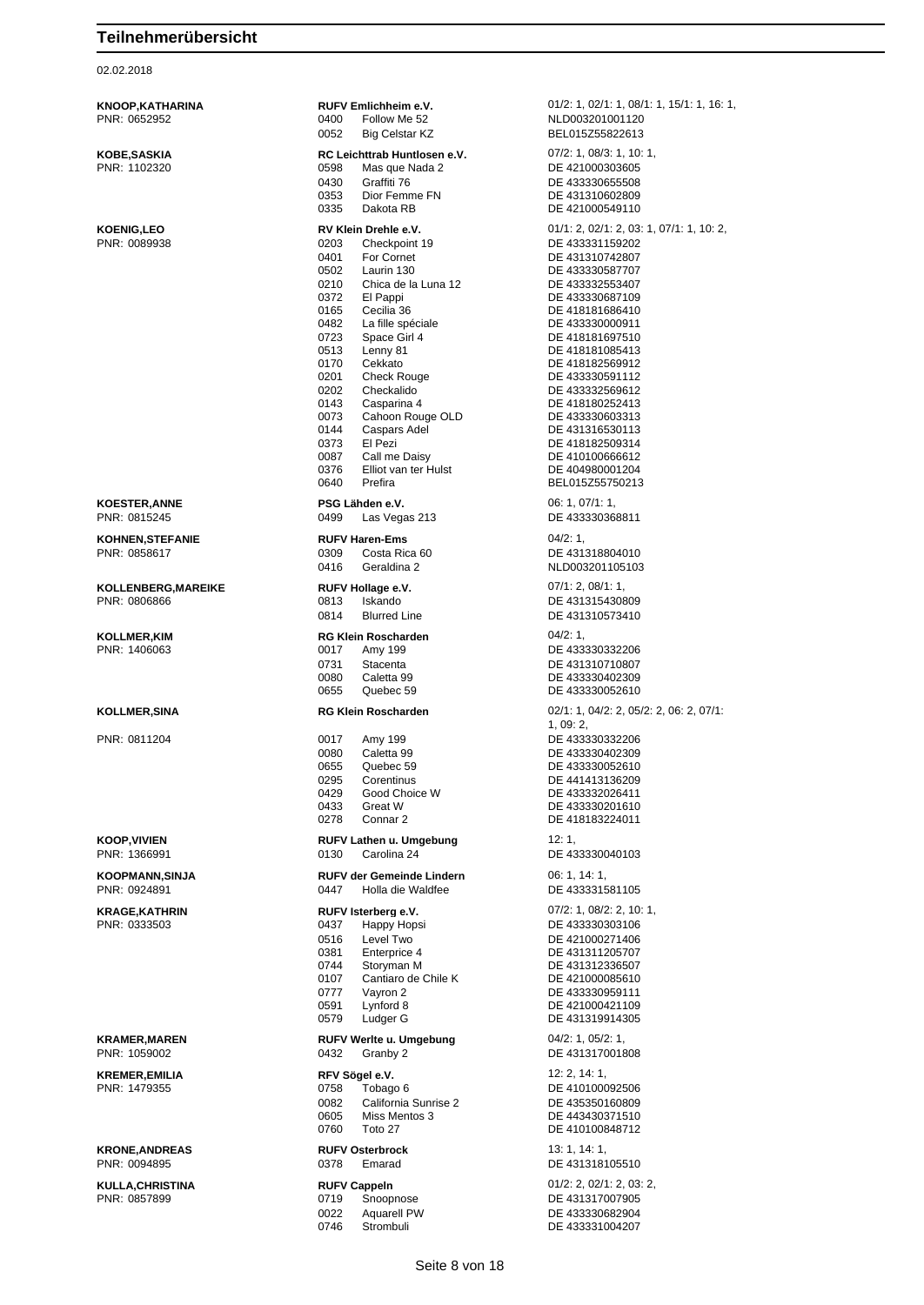02.02.2018

PNR: 0652952 0400 Follow Me 52 NLD003201001120 0052 Big Celstar KZ BEL015Z55822613 **KOBE,SASKIA RC Leichttrab Huntlosen e.V.** 07/2: 1, 08/3: 1, 10: 1, PNR: 1102320 0598 Mas que Nada 2 DE 421000303605 0430 Graffiti 76 DE 433330655508<br>0353 Dior Femme FN DE 431310602809 0353 Dior Femme FN DE 431310602809<br>0335 Dakota RB DE 421000549110 0203 Checkpoint 19 DE 433331159202 0401 For Cornet DE 431310742807 0502 Laurin 130<br>
0210 Chica de la Luna 12 DE 433332553407 Chica de la Luna 12<br>Fl Pappi 0372 El Pappi **DE 433330687109** 0165 Cecilia 36 DE 418181686410 0482 La fille spéciale 0723 Space Girl 4 DE 418181697510 0513 Lenny 81 DE 418181085413 0170 Cekkato **DE 418182569912**<br>0201 Check Rouge **DE 433330591112** 0201 Check Rouge DE 433330591112<br>0202 Checkalido DE 433332569612 0143 Casparina 4 DE 418180252413<br>0073 Cahoon Rouge OLD DE 433330603313 0073 Cahoon Rouge OLD<br>0144 Caspars Adel 0144 Caspars Adel DE 431316530113 0373 El Pezi DE 418182509314 0087 Call me Daisy DE 410100666612<br>0376 Elliot van ter Hulst DE 404980001204 0376 Elliot van ter Hulst DE 404980001204<br>0640 Prefira DE BEL015755750213 **KOESTER,ANNE PSG Lähden e.V.** 06: 1, 07/1: 1, 0499 Las Vegas 213 DE 433330368811 **KOHNEN,STEFANIE RUFV Haren-Ems** 04/2: 1, PNR: 0858617 0309 Costa Rica 60 DE 431318804010 0416 Geraldina 2 NLD003201105103 **KOLLENBERG,MAREIKE RUFV Hollage e.V.** 07/1: 2, 08/1: 1, 0813 Iskando DE 431315430809 0814 Blurred Line **DE 431310573410 KOLLMER,KIM RG Klein Roscharden** 04/2: 1, PNR: 1406063 0017 Amy 199 DE 433330332206 0731 Stacenta<br>
0080 Caletta 99 DE 433330402309 0655 Quebec 59 DE 433330052610 PNR: 0811204 0017 Amy 199 DE 433330332206 0080 Caletta 99 DE 433330402309 0655 Quebec 59 DE 433330052610<br>0295 Corentinus DE 441413136209 0429 Good Choice W DE 433332026411 0433 Great W DE 433330201610 0278 Connar 2 DE 418183224011 **KOOP,VIVIEN RUFV Lathen u. Umgebung** 12: 1, PNR: 1366991 0130 Carolina 24 DE 433330040103 **KOOPMANN,SINJA RUFV der Gemeinde Lindern** 06: 1, 14: 1, **KRAGE,KATHRIN RUFV Isterberg e.V.** 07/2: 1, 08/2: 2, 10: 1, PNR: 0333503 0437 Happy Hopsi DE 433330303106 0516 Level Two DE 421000271406<br>0381 Enterprice 4 DE 431311205707 0381 Enterprice 4 DE 431311205707<br>0744 Storyman M DE 431312336507 0744 Storyman M<br>
0107 Cantiaro de Chile K<br>
DE 421000085610 0107 Cantiaro de Chile K<br>0777 Vavron 2 Vayron 2 DE 433330959111<br>
Lynford 8 DE 421000421109 0591 Lynford 8 DE 421000421109<br>0579 Ludger G DE 431319914305 0579 Ludger G DE 431319914305 **KRAMER,MAREN RUFV Werlte u. Umgebung** 04/2: 1, 05/2: 1, PNR: 1059002 0432 Granby 2 DE 431317001808 **KREMER,EMILIA RFV Sögel e.V.** 12: 2, 14: 1, POR: 147936 Tobago 6 DE 410100092506 0082 California Sunrise 2 DE 435350160809 0605 Miss Mentos 3 DE 443430371510 0760 Toto 27 DE 410100848712 **KRONE,ANDREAS RUFV Osterbrock** 13: 1, 14: 1,<br>
PNR: 0094895 **PMR: 0094895** 0378 **Fmarad** DE 4313181 0378 Emarad DE 431318105510 **KULLA,CHRISTINA RUFV Cappeln** 01/2: 2, 02/1: 2, 03: 2, PNR: 0857899 0719 Snoopnose DE 431317007905 0022 Aquarell PW DE 433330682904 0746 Strombuli DE 433331004207

**KNOOP,KATHARINA RUFV Emlichheim e.V.** 01/2: 1, 02/1: 1, 08/1: 1, 15/1: 1, 16: 1, 0. PNR: 0652952<br>PNR: 0652952 DE 421000549110 **KOENIG,LEO RV Klein Drehle e.V.** 01/1: 2, 02/1: 2, 03: 1, 07/1: 1, 10: 2, 0.<br>PNR: 0089938 0203 Checkpoint 19 DE 433331159202 DE 433332569612 BEL015Z55750213 DE 433330402309 **KOLLMER,SINA RG Klein Roscharden** 02/1: 1, 04/2: 2, 05/2: 2, 06: 2, 07/1: 1, 09: 2, DE 441413136209 PNR: 0924891 0447 Holla die Waldfee DE 433331581105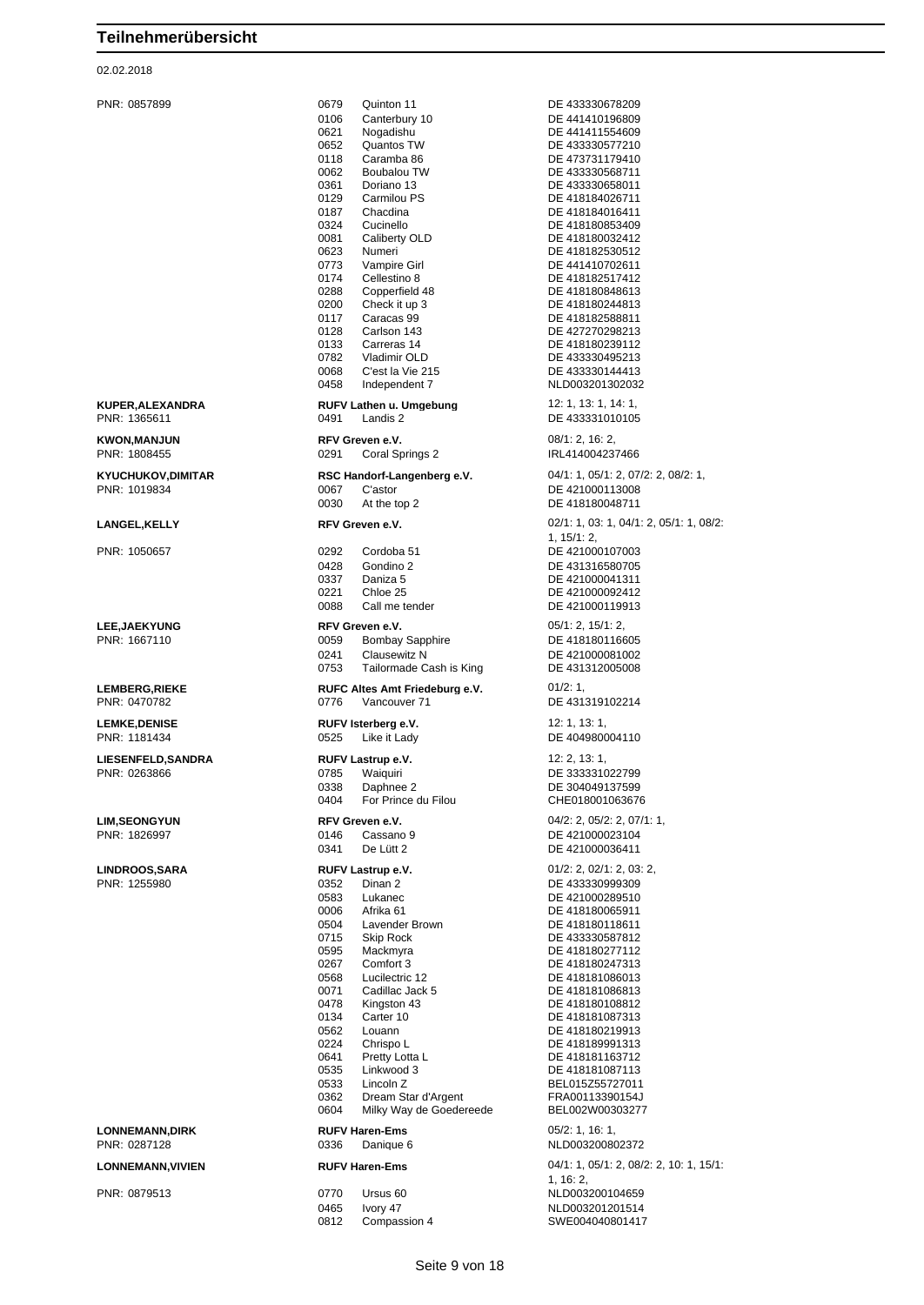#### 02.02.2018

PNR: 0857899 0679 Quinton 11 DE 433330678209 0106 Canterbury 10 DE 441410196809<br>0621 Nogadishu DE 441411554609 0621 Nogadishu DE 441411554609 0652 Quantos TW DE 433330577210 0118 Caramba 86 DE 473731179410 0062 Boubalou TW DE 433330568711 0361 Doriano 13 DE 433330658011 0129 Carmilou PS DE 418184026711 0187 Chacdina DE 418184016411<br>0324 Cucinello DE 418180853409 0081 Caliberty OLD DE 418180032412<br>0623 Numeri DE 418182530512 0623 Numeri DE 418182530512<br>19773 Vampire Girl DE 441410702611 0773 Vampire Girl DE 441410702611<br>0174 Cellestino 8 DE 418182517412 0174 Cellestino 8 DE 418182517412<br>0288 Copperfield 48 DE 418180848613 0288 Copperfield 48 DE 418180848613 0200 Check it up 3 DE 418180244813<br>0117 Caracas 99 DE 418182588811 0117 Caracas 99 DE 418182588811<br>0128 Carlson 143 DE 427270298213 0128 Carlson 143 DE 427270298213 0133 Carreras 14 DE 418180239112<br>0782 Vladimir OLD DE 433330495213 0782 Vladimir OLD DE 433330495213 0068 C'est la Vie 215 DE 433330144413 **KUPER,ALEXANDRA RUFV Lathen u. Umgebung** 12: 1, 13: 1, 14: 1, 19: 1, 19: 1, 19: 1, 19: 1, 19: 1, 19: 1, 19: 1, 19: 1, 19: 1, 19: 1, 19: 1, 19: 1, 19: 1, 19: 1, 19: 1, 19: 1, 19: 1, 19: 1, 19: 1, 19: 1, 19: 1, 19: 1, 19: Landis 2 DE 433331010105 **KWON,MANJUN RFV Greven e.V.** 08/1: 2, 16: 2, PNR: 1808455 0291 Coral Springs 2 IRL414004237466 **KYUCHUKOV,DIMITAR RSC Handorf-Langenberg e.V.** 04/1: 1, 05/1: 2, 07/2: 2, 08/2: 1,<br>PNR: 1019834<br> **RSC Restor** Clastor Clastor DE 421000113008 PNR: 1019834 0067 C'astor DE 421000113008 0030 At the top 2 DE 418180048711 **LANGEL,KELLY RFV Greven e.V.** 02/1: 1, 03: 1, 04/1: 2, 05/1: 1, 08/2: PNR: 1050657 0292 Cordoba 51 DE 421000107003 0428 Gondino 2 DE 431316580705<br>0337 Daniza 5 DE 421000041311 0337 Daniza 5 DE 421000041311<br>0221 Chloe 25 DE 421000092412 0088 Call me tender DE 421000119913 **LEE,JAEKYUNG RFV Greven e.V. RFV Greven e.V.** 05/1: 2, 15/1: 2, 19/1: 2, 19/1: 2, PNR: 1667110 Bombay Sapphire 0241 Clausewitz N DE 421000081002 0753 Tailormade Cash is King DE 431312005008 **LEMBERG,RIEKE RUFC Altes Amt Friedeburg e.V.** 01/2: 1,<br>PNR: 0470782 **DE 431:** 0776 Mancouver 71 **DE 431:** 0776 Vancouver 71 DE 431319102214 **LEMKE,DENISE RUFV Isterberg e.V.** 12: 1, 13: 1, PNR: 1181434 0525 Like it Lady DE 404980004110 **LIESENFELD,SANDRA RUFV Lastrup e.V.** 12: 2, 13: 1, PNR: 0263866 0785 Waiquiri DE 333331022799 0338 Daphnee 2 DE 304049137599<br>0404 For Prince du Filou CHE018001063676 For Prince du Filou **LIM,SEONGYUN RFV Greven e.V.** 04/2: 2, 05/2: 2, 07/1: 1,<br>
PNR: 1826997 0146 Cassano 9 DE 421000023104 Physical Cassano 9 DE 421000023104<br>
DE 421000036411 0341 De Lütt 2 DE 421000036411 **LINDROOS,SARA RUFV Lastrup e.V.** 01/2: 2, 02/1: 2, 03: 2, 0352 Dinan 2 DE 433330999309<br>0583 Lukanec DE 421000289510 0583 Lukanec DE 421000289510<br>0006 Afrika 61 DE 418180065911 0504 Lavender Brown DE 418180118611 0715 Skip Rock DE 433330587812 0595 Mackmyra DE 418180277112 0267 Comfort 3 DE 418180247313 0071 Cadillac Jack 5 DE 418181086813<br>0478 Kingston 43 DE 418180108812 0478 Kingston 43 DE 418180108812 0562 Louann DE 418180219913<br>0224 Chrispo L DE 418189991313 0224 Chrispo L<br>Pretty Lotta L<br>DE 418181163712 0641 Pretty Lotta L<br>0535 Linkwood 3 DE 418181087113 0535 Linkwood 3 DE 418181087113<br>0533 Lincoln Z BEL015Z55727011 0362 Dream Star d'Argent FRA00113390154J<br>0604 Milky Way de Goedereede BEL002W00303277 Milky Way de Goedereede **LONNEMANN,DIRK RUFV Haren-Ems** 05/2: 1, 16: 1, **LONNEMANN,VIVIEN RUFV Haren-Ems** 04/1: 1, 05/1: 2, 08/2: 2, 10: 1, 15/1: PNR: 0879513 0770 Ursus 60 NLD003200104659

DE 418180853409 NLD003201302032 1, 15/1: 2, DE 421000092412 DE 418180065911 DE 418181086013 DE 418181087313 BEL015Z55727011 NLD003200802372 1, 16: 2, 0465 Ivory 47 NLD003201201514

0812 Compassion 4 SWE004040801417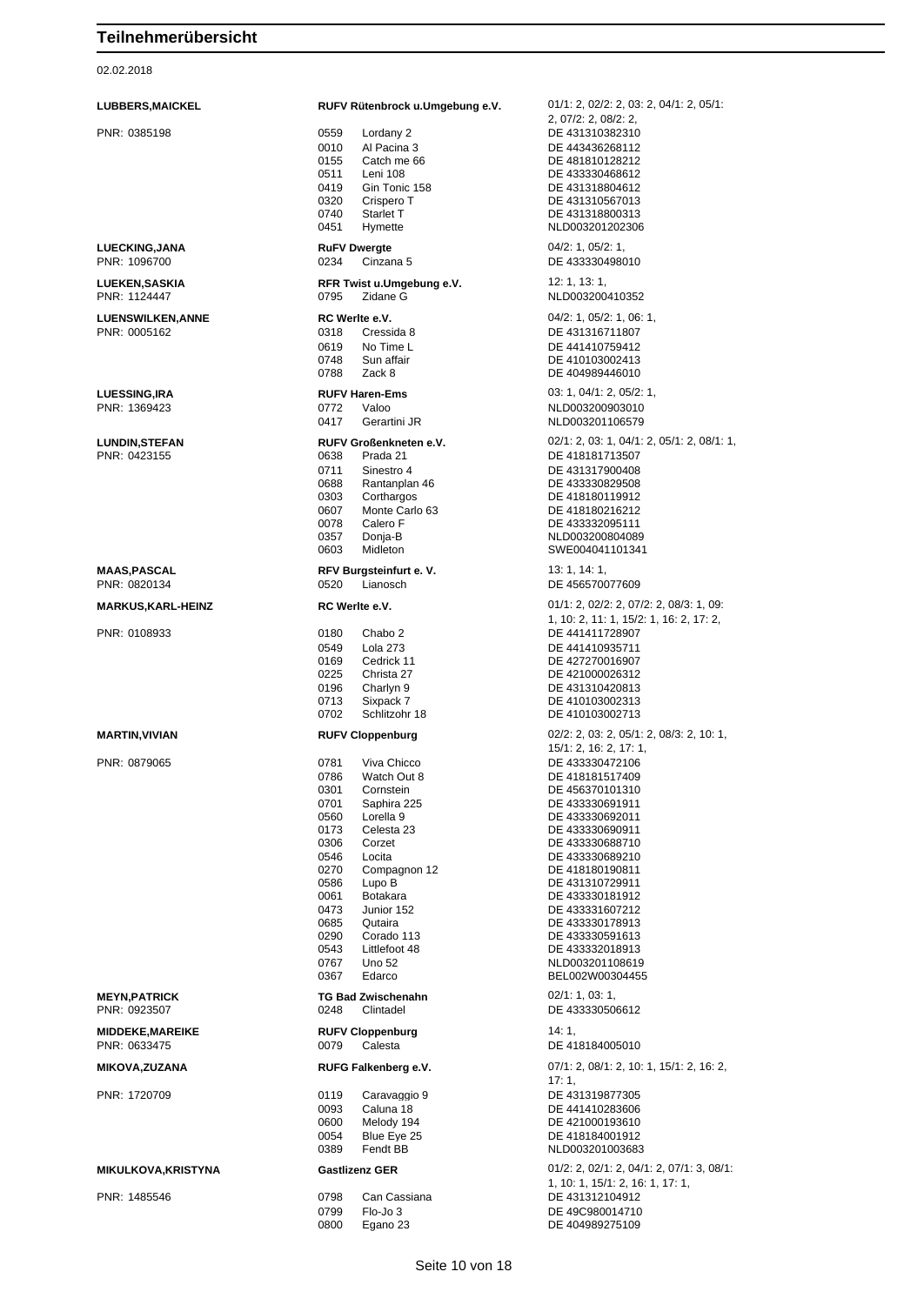02.02.2018

| <b>LUBBERS, MAICKEL</b><br>PNR: 0385198  | RUFV Rütenbrock u.Umgebung e.V.<br>0559<br>Lordany 2<br>0010<br>Al Pacina 3<br>0155<br>Catch me 66                                                                                                                                                                                                                                                                                           | $01/1: 2, 02/2: 2, 03: 2, 04/1: 2, 05/1:$<br>2, 07/2: 2, 08/2: 2,<br>DE 431310382310<br>DE 443436268112<br>DE 481810128212                                                                                                                                                                                                                         |
|------------------------------------------|----------------------------------------------------------------------------------------------------------------------------------------------------------------------------------------------------------------------------------------------------------------------------------------------------------------------------------------------------------------------------------------------|----------------------------------------------------------------------------------------------------------------------------------------------------------------------------------------------------------------------------------------------------------------------------------------------------------------------------------------------------|
|                                          | 0511<br>Leni 108<br>0419<br>Gin Tonic 158<br>0320<br>Crispero T<br>0740<br>Starlet T                                                                                                                                                                                                                                                                                                         | DE 433330468612<br>DE 431318804612<br>DE 431310567013<br>DE 431318800313                                                                                                                                                                                                                                                                           |
| LUECKING, JANA                           | 0451<br>Hymette<br><b>RuFV Dwergte</b>                                                                                                                                                                                                                                                                                                                                                       | NLD003201202306<br>04/2: 1, 05/2: 1,                                                                                                                                                                                                                                                                                                               |
| PNR: 1096700<br><b>LUEKEN, SASKIA</b>    | 0234<br>Cinzana 5<br>RFR Twist u.Umgebung e.V.                                                                                                                                                                                                                                                                                                                                               | DE 433330498010<br>12: 1, 13: 1,                                                                                                                                                                                                                                                                                                                   |
| PNR: 1124447                             | Zidane G<br>0795                                                                                                                                                                                                                                                                                                                                                                             | NLD003200410352                                                                                                                                                                                                                                                                                                                                    |
| <b>LUENSWILKEN, ANNE</b><br>PNR: 0005162 | RC Werlte e.V.<br>0318<br>Cressida 8<br>0619<br>No Time L<br>0748<br>Sun affair<br>0788<br>Zack 8                                                                                                                                                                                                                                                                                            | 04/2: 1, 05/2: 1, 06: 1,<br>DE 431316711807<br>DE 441410759412<br>DE 410103002413<br>DE 404989446010                                                                                                                                                                                                                                               |
| <b>LUESSING, IRA</b><br>PNR: 1369423     | <b>RUFV Haren-Ems</b><br>0772<br>Valoo<br>0417<br>Gerartini JR                                                                                                                                                                                                                                                                                                                               | 03: 1, 04/1: 2, 05/2: 1,<br>NLD003200903010<br>NLD003201106579                                                                                                                                                                                                                                                                                     |
| <b>LUNDIN, STEFAN</b><br>PNR: 0423155    | <b>RUFV Großenkneten e.V.</b><br>0638<br>Prada 21<br>0711<br>Sinestro 4<br>0688<br>Rantanplan 46<br>0303<br>Corthargos<br>0607<br>Monte Carlo 63<br>0078<br>Calero F<br>0357<br>Donja-B<br>0603<br>Midleton                                                                                                                                                                                  | 02/1: 2, 03: 1, 04/1: 2, 05/1: 2, 08/1: 1,<br>DE 418181713507<br>DE 431317900408<br>DE 433330829508<br>DE 418180119912<br>DE 418180216212<br>DE 433332095111<br>NLD003200804089<br>SWE004041101341                                                                                                                                                 |
| <b>MAAS, PASCAL</b><br>PNR: 0820134      | RFV Burgsteinfurt e.V.<br>0520<br>Lianosch                                                                                                                                                                                                                                                                                                                                                   | 13: 1, 14: 1,<br>DE 456570077609                                                                                                                                                                                                                                                                                                                   |
| <b>MARKUS,KARL-HEINZ</b>                 | RC Werlte e.V.                                                                                                                                                                                                                                                                                                                                                                               | $01/1: 2, 02/2: 2, 07/2: 2, 08/3: 1, 09:$                                                                                                                                                                                                                                                                                                          |
| PNR: 0108933                             | 0180<br>Chabo 2<br>0549<br><b>Lola 273</b><br>0169<br>Cedrick 11<br>0225<br>Christa 27<br>0196<br>Charlyn 9<br>0713<br>Sixpack 7<br>0702<br>Schlitzohr 18                                                                                                                                                                                                                                    | 1, 10: 2, 11: 1, 15/2: 1, 16: 2, 17: 2,<br>DE 441411728907<br>DE 441410935711<br>DE 427270016907<br>DE 421000026312<br>DE 431310420813<br>DE 410103002313<br>DE 410103002713                                                                                                                                                                       |
| <b>MARTIN, VIVIAN</b>                    | <b>RUFV Cloppenburg</b>                                                                                                                                                                                                                                                                                                                                                                      | 02/2: 2, 03: 2, 05/1: 2, 08/3: 2, 10: 1,<br>15/1: 2, 16: 2, 17: 1,                                                                                                                                                                                                                                                                                 |
| PNR: 0879065<br><b>MEYN, PATRICK</b>     | 0781<br>Viva Chicco<br>0786<br>Watch Out 8<br>0301<br>Cornstein<br>0701<br>Saphira 225<br>0560<br>Lorella 9<br>0173<br>Celesta 23<br>0306<br>Corzet<br>0546<br>Locita<br>0270<br>Compagnon 12<br>Lupo B<br>0586<br>0061<br>Botakara<br>0473<br>Junior 152<br>0685<br>Qutaira<br>0290<br>Corado 113<br>0543<br>Littlefoot 48<br>0767<br>Uno 52<br>0367<br>Edarco<br><b>TG Bad Zwischenahn</b> | DE 433330472106<br>DE 418181517409<br>DE 456370101310<br>DE 433330691911<br>DE 433330692011<br>DE 433330690911<br>DE 433330688710<br>DE 433330689210<br>DE 418180190811<br>DE 431310729911<br>DE 433330181912<br>DE 433331607212<br>DE 433330178913<br>DE 433330591613<br>DE 433332018913<br>NLD003201108619<br>BEL002W00304455<br>02/1: 1, 03: 1, |
| PNR: 0923507                             | 0248<br>Clintadel                                                                                                                                                                                                                                                                                                                                                                            | DE 433330506612                                                                                                                                                                                                                                                                                                                                    |
| <b>MIDDEKE, MAREIKE</b><br>PNR: 0633475  | <b>RUFV Cloppenburg</b><br>0079<br>Calesta                                                                                                                                                                                                                                                                                                                                                   | 14:1,<br>DE 418184005010                                                                                                                                                                                                                                                                                                                           |
| <b>MIKOVA,ZUZANA</b>                     | RUFG Falkenberg e.V.                                                                                                                                                                                                                                                                                                                                                                         | $07/1: 2, 08/1: 2, 10: 1, 15/1: 2, 16: 2,$<br>17:1,                                                                                                                                                                                                                                                                                                |
| PNR: 1720709                             | 0119<br>Caravaggio 9<br>0093<br>Caluna 18<br>0600<br>Melody 194<br>0054<br>Blue Eye 25<br>0389<br>Fendt BB                                                                                                                                                                                                                                                                                   | DE 431319877305<br>DE 441410283606<br>DE 421000193610<br>DE 418184001912<br>NLD003201003683                                                                                                                                                                                                                                                        |
| <b>MIKULKOVA, KRISTYNA</b>               | <b>Gastlizenz GER</b>                                                                                                                                                                                                                                                                                                                                                                        | $01/2$ : 2, $02/1$ : 2, $04/1$ : 2, $07/1$ : 3, $08/1$ :                                                                                                                                                                                                                                                                                           |
| PNR: 1485546                             | 0798<br>Can Cassiana<br>0799<br>Flo-Jo 3<br>0800<br>Egano 23                                                                                                                                                                                                                                                                                                                                 | 1, 10: 1, 15/1: 2, 16: 1, 17: 1,<br>DE 431312104912<br>DE 49C980014710<br>DE 404989275109                                                                                                                                                                                                                                                          |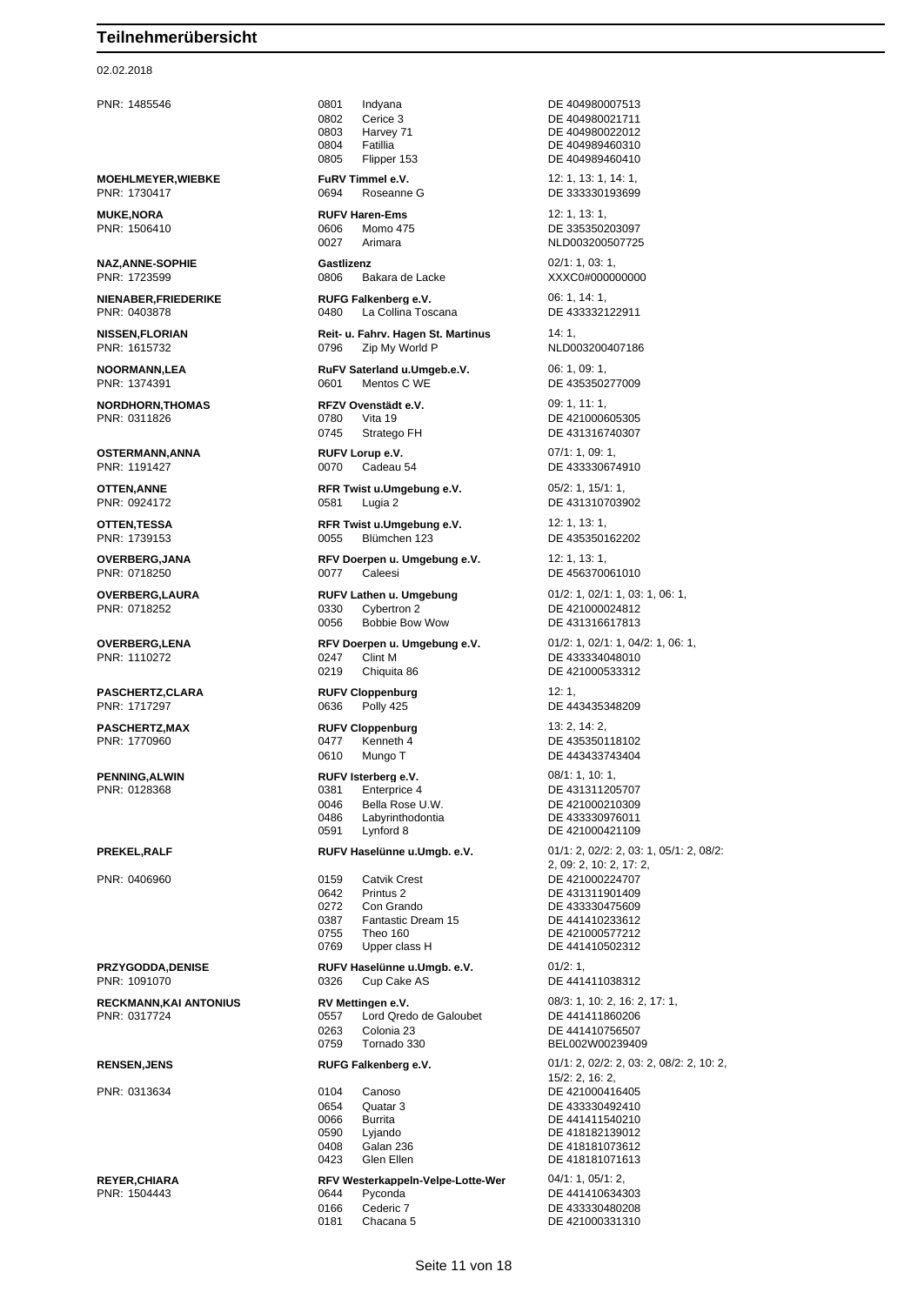#### 02.02.2018

**MOEHLMEYER, WIEBKE FURV Timmel e.V.** 12: 1, 13: 1, 14: 1, 19: 1, 14: 1, 19: 1, 14: 1, 19: 1, 14: 1, 19: 1, 19: 1, 19: 1, 19: 1, 19: 1, 19: 1, 19: 1, 19: 1, 19: 1, 19: 1, 19: 1, 19: 1, 19: 1, 19: 1, 19: 1, 19: 1, 19: 1, PNR: 1730417 0694 Roseanne G DE 333330193699

**NAZ,ANNE-SOPHIE Gastlizenz** 02/1: 1, 03: 1,

**OSTERMANN,ANNA RUFV Lorup e.V.** 07/1: 1, 09: 1,<br>PNR: 1191427 **DE 43333067** 0.070 Cadeau 54 **DE 43333067** 

**PASCHERTZ,CLARA RUFV Cloppenburg** 12: 1,

PNR: 1091070 0326 Cup Cake AS DE 441411038312

PNR: 1485546 0801 Indyana DE 404980007513

PNR: 1723599 0806 Bakara de Lacke XXXC0#000000000

La Collina Toscana

**NISSEN,FLORIAN Reit- u. Fahrv. Hagen St. Martinus** 14: 1, PNR: 1615732 0796 Zip My World P NLD003200407186

**NOORMANN,LEA RuFV Saterland u.Umgeb.e.V.** 06: 1, 09: 1, PNR: 1374391 0601 Mentos C WE DE 435350277009

**NORDHORN,THOMAS RFZV Ovenstädt e.V.** 09: 1, 11: 1, PNR: 0311826<br> **PNR: 0311826 DE 4210006** 0780 Vita 19 DE 421000605305

**OTTEN,ANNE RFR Twist u.Umgebung e.V.** 05/2: 1, 15/1: 1, PNR: 0924172 0581 Lugia 2 DE 431310703902

**OTTEN,TESSA RFR Twist u.Umgebung e.V.** 12: 1, 13: 1, PNR: 1739153 0055 Blümchen 123 DE 435350162202

**OVERBERG,JANA RFV Doerpen u. Umgebung e.V.** 12: 1, 13: 1, 13: 1, PNR: 0718250 0077 Caleesi DE 456370061010

> 0330 Cybertron 2 DE 421000024812 0056 Bobbie Bow Wow DE 431316617813

PNR: 1110272 0247 Clint M DE 433334048010 0219 Chiquita 86 DE 421000533312

PNR: 0128368 0381 Enterprice 4 DE 431311205707 0046 Bella Rose U.W.<br>0486 Labyrinthodontia DE 433330976011 0486 Labyrinthodontia<br>
0591 Lynford 8 DE 421000421109

PNR: 0406960 0159 Catvik Crest DE 421000224707 0642 Printus 2 DE 431311901409 0272 Con Grando DE 433330475609 0387 Fantastic Dream 15 DE 441410233612 0755 Theo 160 0755 DE 421000577212

# **PRZYGODDA,DENISE RUFV Haselünne u.Umgb. e.V.** 01/2: 1,

**RECKMANN,KAI ANTONIUS RV Mettingen e.V.** 08/3: 1, 10: 2, 16: 2, 17: 1, PNR: 0317724 0557 Lord Qredo de Galoubet DE 441411860206 0263 Colonia 23 DE 441410756507

#### **REYER,CHIARA RFV Westerkappeln-Velpe-Lotte-Wer** 04/1: 1, 05/1: 2, PNR: 1504443 0644 Pyconda DE 441410634303 0166 Cederic 7 DE 433330480208

0181 Chacana 5 DE 421000331310

0802 Cerice 3 DE 404980021711<br>0803 Harvey 71 DE 404980022012 Harvey 71 DE 404980022012 0804 Fatillia DE 404989460310 0805 Flipper 153 DE 404989460410 **MUKE,NORA RUFV Haren-Ems** 12: 1, 13: 1, PNR: 1506410 0606 Momo 475 DE 335350203097 0027 Arimara NLD003200507725 **NIENABER,FRIEDERIKE RUFG Falkenberg e.V.** 06: 1, 14: 1, 0745 Stratego FH DE 431316740307 PNR: 1191427 0070 Cadeau 54 DE 433330674910 **OVERBERG,LAURA RUFV Lathen u. Umgebung** 01/2: 1, 02/1: 1, 03: 1, 06: 1, 0RIC 07: 1, 03: 1, 06: 1, 08: 1, 08: 1, 08: 1, 08: 1, 08: 1, 08: 1, 08: 1, 08: 1, 08: 1, 08: 1, 08: 1, 08: 1, 08: 1, 08: 1, 08: 0330 Cybertron 2 **OVERBERG,LENA RFV Doerpen u. Umgebung e.V.** 01/2: 1, 02/1: 1, 04/2: 1, 06: 1, PNR: 1717297 0636 Polly 425 DE 443435348209 **PASCHERTZ, MAX RUFV Cloppenburg** 13: 2, 14: 2, PNR: 1770960 0477 Kenneth 4 DE 435350118102 0610 Mungo T DE 443433743404 **PENNING,ALWIN RUFV Isterberg e.V.** 08/1: 1, 10: 1, DE 421000421109 **PREKEL,RALF RUFV Haselünne u.Umgb. e.V.** 01/1: 2, 02/2: 2, 03: 1, 05/1: 2, 08/2: 2, 09: 2, 10: 2, 17: 2, 0769 Upper class H DE 441410502312 BEL002W00239409 **RENSEN,JENS RUFG Falkenberg e.V.** 01/1: 2, 02/2: 2, 03: 2, 08/2: 2, 10: 2, 15/2: 2, 16: 2, PNR: 0313634 0104 Canoso DE 421000416405 0654 Quatar 3 DE 433330492410 0066 Burrita DE 441411540210 0590 Lyjando DE 418182139012 0408 Galan 236 **DE 418181073612** 0423 Glen Ellen **DE 418181071613**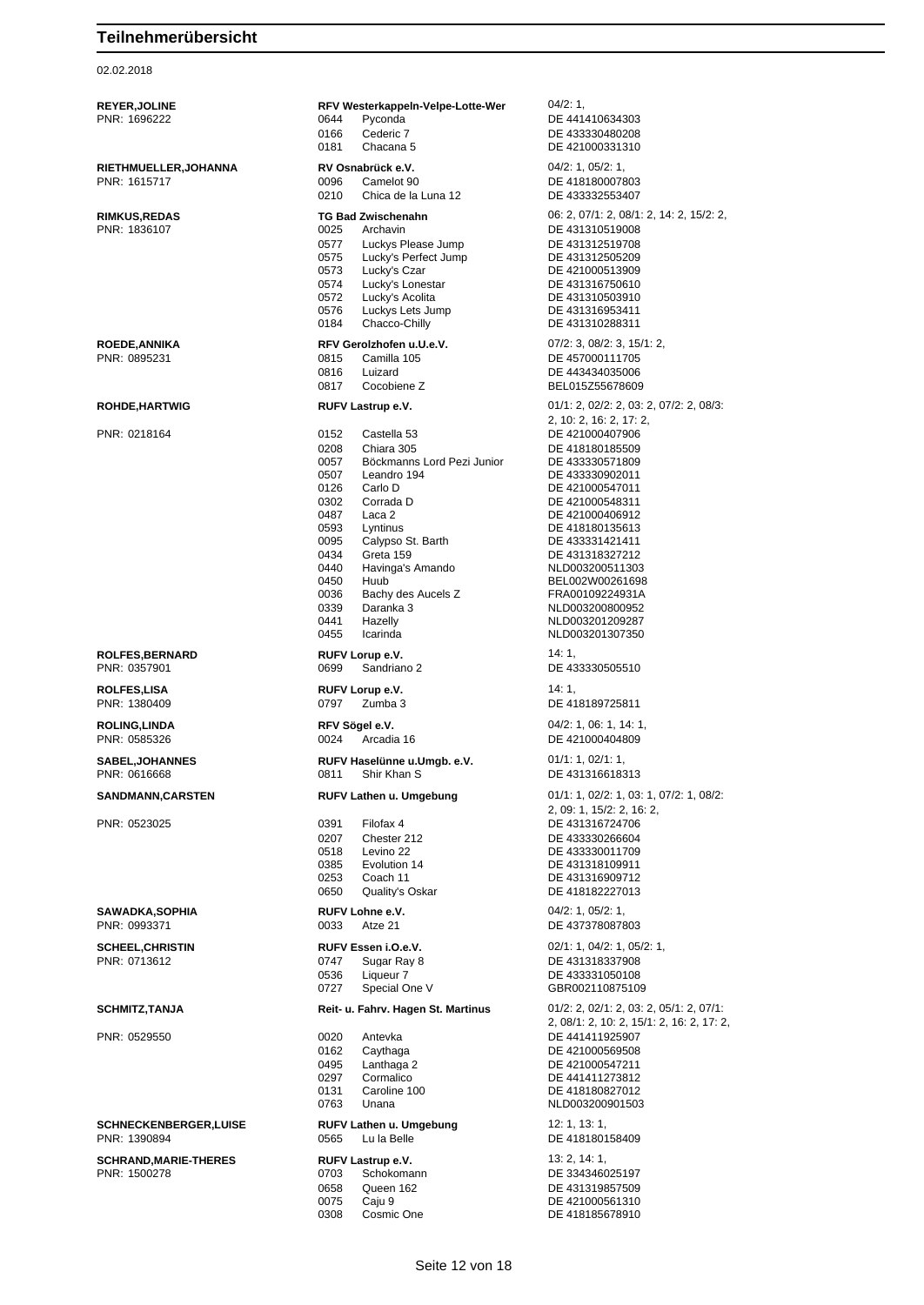02.02.2018

**REYER,JOLINE REY REY Westerkappeln-Velpe-Lotte-Wer** 04/2: 1,<br>PNR: 1696222 **DE 441410634303** PNR: 1696222 0644 Pyconda DE 441410634303 0166 Cederic 7 DE 433330480208<br>0181 Chacana 5 DE 421000331310 DE 421000331310 **RIETHMUELLER,JOHANNA RV Osnabrück e.V.** 04/2: 1, 05/2: 1, PNR: 1615717 0096 Camelot 90 DE 418180007803 0210 Chica de la Luna 12 DE 433332553407 **RIMKUS,REDAS TG Bad Zwischenahn** 06: 2, 07/1: 2, 08/1: 2, 14: 2, 15/2: 2, 08/1: 2, 15/2: 2, 07/1: 2, 08/1: 2, 15/2: 2, 07/1: 2, 08/1: 2, 15/2: 2, 07/1: 2, 08/1: 2, 15/2: 2, 07/1: 2, 08/1: 2, 15/2: 2, 07/1: 2, 08/1: 09/2 0025 Archavin<br>
0577 Luckys Please Jump<br>
DE 431312519708 0577 Luckys Please Jump DE 431312519708 0575 Lucky's Perfect Jump<br>0573 Lucky's Czar 0573 Lucky's Czar DE 421000513909<br>0574 Lucky's Lonestar DE 431316750610 0574 Lucky's Lonestar DE 431316750610 0572 Lucky's Acolita DE 431310503910 0576 Luckys Lets Jump DE 431316953411 0184 Chacco-Chilly DE 431310288311 **ROEDE,ANNIKA REV Gerolzhofen u.U.e.V.** 07/2: 3, 08/2: 3, 15/1: 2, 08/2: 3, 08/2: 3, 08/2: 2, 08/2: 2, 08/2: 2, 08/2: 2, 08/2: 08/15 DE 457000111705 0816 Luizard DE 443434035006 0817 Cocobiene Z BEL015Z55678609 **ROHDE,HARTWIG RUFV Lastrup e.V. 01/1: 2, 02/2: 2, 03: 2, 07/2: 2, 08/3: RUFV Lastrup e.V.** 2, 10: 2, 16: 2, 17: 2, PNR: 0218164 0152 Castella 53 DE 421000407906 0208 Chiara 305 DE 418180185509<br>0057 Böckmanns Lord Pezi Junior DE 433330571809 0057 Böckmanns Lord Pezi Junior<br>0507 Leandro 194 DE 433330902011 0126 Carlo D<br>
0302 Corrada D<br>
DE 421000548311 0302 Corrada D DE 421000548311<br>0487 – Laca 2 0487 Laca 2 DE 421000406912 0593 Lyntinus DE 418180135613<br>1995 Calvoso St Barth DE 433331421411 Calypso St. Barth 0434 Greta 159 DE 431318327212 0440 Havinga's Amando NLD003200511303 0450 Huub BEL002W00261698 0036 Bachy des Aucels Z<br>0339 Daranka 3 **International MLD003200800952** NLD003200800952 0441 Hazelly **NLD003201209287** 0455 Icarinda NLD003201307350 **ROLFES,BERNARD RUFV Lorup e.V.** 14: 1, PNR: 0357901 0699 Sandriano 2 DE 433330505510 **ROLFES,LISA RUFV Lorup e.V. 14: 1,** PNR: 1380409 0797 Zumba 3 DE 418189725811 **ROLING,LINDA RFV Sögel e.V. OLING,LINDA OUT ACCOUNT REV Sögel e.V. OUT ACCOUNT ACCOUNT ACCOUNT ACCOUNT ACCOUNT ACCOUNT ACCOUNT ACCOUNT ACCOUNT ACCOUNT ACCOUNT ACCOUNT ACCOUNT ACCOUNT ACCOUNT ACCOUNT ACCOUNT ACCOUN** 0024 Arcadia 16 DE 421000404809 **SABEL,JOHANNES RUFV Haselünne u.Umgb. e.V.** 01/1: 1, 02/1: 1, 02/1: 1, 02/1: 1, 02/1: 1, 02/1: 1, 02/1: 1, 02/1: 1, 02/1: 1, 02/1: 1, 02/1: 06183 0811 Shir Khan S DE 431316618313 **SANDMANN,CARSTEN RUFV Lathen u. Umgebung** 01/1: 1, 02/2: 1, 03: 1, 07/2: 1, 08/2: 2, 09: 1, 15/2: 2, 16: 2, PNR: 0523025 0391 Filofax 4 DE 431316724706 0207 Chester 212 DE 433330266604 0518 Levino 22 DE 433330011709<br>0385 Evolution 14 DE 431318109911 0385 Evolution 14 DE 431318109911<br>0253 Coach 11 DE 431316909712 DE 431316909712 0650 Quality's Oskar DE 418182227013 **SAWADKA,SOPHIA RUFV Lohne e.V.** 04/2: 1, 05/2: 1, PNR: 0993371 0033 Atze 21 DE 437378087803 **SCHEEL,CHRISTIN RUFV Essen i.O.e.V.** 02/1: 1, 04/2: 1, 05/2: 1, PNR: 0713612 0747 Sugar Ray 8 DE 431318337908 0536 Liqueur 7 DE 433331050108<br>0727 Special One V GBR00211087510 0727 Special One V GBR002110875109 **SCHMITZ,TANJA Reit- u. Fahrv. Hagen St. Martinus** 01/2: 2, 02/1: 2, 03: 2, 05/1: 2, 07/1: 2, 08/1: 2, 10: 2, 15/1: 2, 16: 2, 17: 2, PNR: 0529550 0020 Antevka DE 441411925907 0162 Caythaga DE 421000569508 0495 Lanthaga 2 DE 421000547211<br>0297 Cormalico DE 441411273812 DE 441411273812 0131 Caroline 100 DE 418180827012 0763 Unana NLD003200901503 **SCHNECKENBERGER,LUISE RUFV Lathen u. Umgebung** 12: 1, 13: 1, PNR: 1390894 0565 Lu la Belle DE 418180158409 **SCHRAND, MARIE-THERES RUFV Lastrup e.V.** 13: 2, 14: 1, PNR: 1500278 0703 Schokomann DE 334346025197 0658 Queen 162 DE 431319857509<br>0075 Caiu 9 DE 421000561310 0075 Caju 9 DE 421000561310 0308 Cosmic One DE 418185678910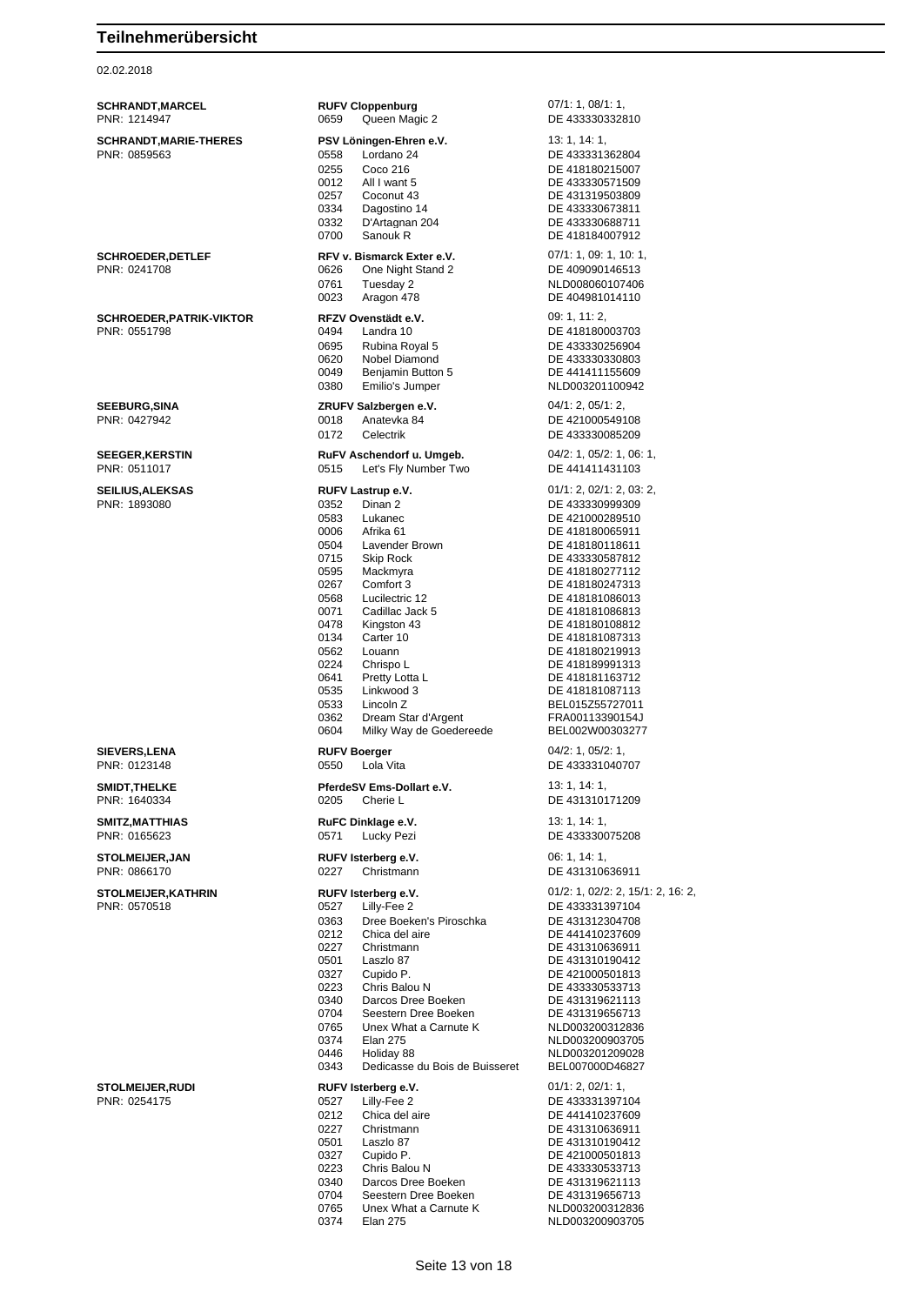02.02.2018

| <b>SCHRANDT, MARCEL</b><br>PNR: 1214947         | <b>RUFV Cloppenburg</b><br>0659<br>Queen Magic 2                                                                                                                                                                                                                                                                                                                                                                                                               | 07/1: 1, 08/1: 1,<br>DE 433330332810                                                                                                                                                                                                                                                                                                                                           |
|-------------------------------------------------|----------------------------------------------------------------------------------------------------------------------------------------------------------------------------------------------------------------------------------------------------------------------------------------------------------------------------------------------------------------------------------------------------------------------------------------------------------------|--------------------------------------------------------------------------------------------------------------------------------------------------------------------------------------------------------------------------------------------------------------------------------------------------------------------------------------------------------------------------------|
| <b>SCHRANDT, MARIE-THERES</b><br>PNR: 0859563   | PSV Löningen-Ehren e.V.<br>Lordano 24<br>0558<br>0255<br>Coco 216<br>0012<br>All I want 5<br>0257<br>Coconut 43<br>0334<br>Dagostino 14<br>0332<br>D'Artagnan 204<br>0700<br>Sanouk R                                                                                                                                                                                                                                                                          | 13: 1, 14: 1,<br>DE 433331362804<br>DE 418180215007<br>DE 433330571509<br>DE 431319503809<br>DE 433330673811<br>DE 433330688711<br>DE 418184007912                                                                                                                                                                                                                             |
| <b>SCHROEDER, DETLEF</b><br>PNR: 0241708        | RFV v. Bismarck Exter e.V.<br>0626<br>One Night Stand 2<br>0761<br>Tuesday 2<br>0023<br>Aragon 478                                                                                                                                                                                                                                                                                                                                                             | 07/1: 1, 09: 1, 10: 1,<br>DE 409090146513<br>NLD008060107406<br>DE 404981014110                                                                                                                                                                                                                                                                                                |
| <b>SCHROEDER, PATRIK-VIKTOR</b><br>PNR: 0551798 | RFZV Ovenstädt e.V.<br>0494<br>Landra 10<br>0695<br>Rubina Royal 5<br>0620<br>Nobel Diamond<br>0049<br>Benjamin Button 5<br>0380<br>Emilio's Jumper                                                                                                                                                                                                                                                                                                            | 09: 1, 11: 2,<br>DE 418180003703<br>DE 433330256904<br>DE 433330330803<br>DE 441411155609<br>NLD003201100942                                                                                                                                                                                                                                                                   |
| <b>SEEBURG, SINA</b><br>PNR: 0427942            | ZRUFV Salzbergen e.V.<br>0018<br>Anatevka 84<br>0172<br>Celectrik                                                                                                                                                                                                                                                                                                                                                                                              | 04/1: 2, 05/1: 2,<br>DE 421000549108<br>DE 433330085209                                                                                                                                                                                                                                                                                                                        |
| <b>SEEGER, KERSTIN</b><br>PNR: 0511017          | RuFV Aschendorf u. Umgeb.<br>0515<br>Let's Fly Number Two                                                                                                                                                                                                                                                                                                                                                                                                      | $04/2$ : 1, $05/2$ : 1, 06: 1,<br>DE 441411431103                                                                                                                                                                                                                                                                                                                              |
| <b>SEILIUS, ALEKSAS</b><br>PNR: 1893080         | RUFV Lastrup e.V.<br>0352<br>Dinan 2<br>0583<br>Lukanec<br>0006<br>Afrika 61<br>0504<br>Lavender Brown<br>0715<br>Skip Rock<br>0595<br>Mackmyra<br>0267<br>Comfort 3<br>0568<br>Lucilectric 12<br>0071<br>Cadillac Jack 5<br>0478<br>Kingston 43<br>0134<br>Carter 10<br>0562<br>Louann<br>0224<br>Chrispo L<br>0641<br>Pretty Lotta L<br>0535<br>Linkwood 3<br>Lincoln <sub>Z</sub><br>0533<br>0362<br>Dream Star d'Argent<br>0604<br>Milky Way de Goedereede | 01/1: 2, 02/1: 2, 03: 2,<br>DE 433330999309<br>DE 421000289510<br>DE 418180065911<br>DE 418180118611<br>DE 433330587812<br>DE 418180277112<br>DE 418180247313<br>DE 418181086013<br>DE 418181086813<br>DE 418180108812<br>DE 418181087313<br>DE 418180219913<br>DE 418189991313<br>DE 418181163712<br>DE 418181087113<br>BEL015Z55727011<br>FRA00113390154J<br>BEL002W00303277 |
| <b>SIEVERS, LENA</b><br>PNR: 0123148            | <b>RUFV Boerger</b><br>Lola Vita<br>0550                                                                                                                                                                                                                                                                                                                                                                                                                       | 04/2: 1, 05/2: 1,<br>DE 433331040707                                                                                                                                                                                                                                                                                                                                           |
| <b>SMIDT, THELKE</b><br>PNR: 1640334            | PferdeSV Ems-Dollart e.V.<br>0205<br>Cherie L                                                                                                                                                                                                                                                                                                                                                                                                                  | 13: 1, 14: 1,<br>DE 431310171209                                                                                                                                                                                                                                                                                                                                               |
| SMITZ, MATTHIAS<br>PNR: 0165623                 | RuFC Dinklage e.V.<br>0571<br>Lucky Pezi                                                                                                                                                                                                                                                                                                                                                                                                                       | 13: 1, 14: 1,<br>DE 433330075208                                                                                                                                                                                                                                                                                                                                               |
| <b>STOLMEIJER, JAN</b><br>PNR: 0866170          | RUFV Isterberg e.V.<br>0227<br>Christmann                                                                                                                                                                                                                                                                                                                                                                                                                      | 06: 1, 14: 1,<br>DE 431310636911                                                                                                                                                                                                                                                                                                                                               |
| STOLMEIJER, KATHRIN<br>PNR: 0570518             | RUFV Isterberg e.V.<br>0527<br>Lilly-Fee 2<br>0363<br>Dree Boeken's Piroschka<br>0212<br>Chica del aire<br>0227<br>Christmann<br>0501<br>Laszlo 87<br>0327<br>Cupido P.<br>0223<br>Chris Balou N<br>0340<br>Darcos Dree Boeken<br>0704<br>Seestern Dree Boeken<br>Unex What a Carnute K<br>0765<br>0374<br><b>Elan 275</b><br>0446<br>Holiday 88<br>Dedicasse du Bois de Buisseret<br>0343                                                                     | 01/2: 1, 02/2: 2, 15/1: 2, 16: 2,<br>DE 433331397104<br>DE 431312304708<br>DE 441410237609<br>DE 431310636911<br>DE 431310190412<br>DE 421000501813<br>DE 433330533713<br>DE 431319621113<br>DE 431319656713<br>NLD003200312836<br>NLD003200903705<br>NLD003201209028<br>BEL007000D46827                                                                                       |
| <b>STOLMEIJER, RUDI</b><br>PNR: 0254175         | RUFV Isterberg e.V.<br>0527<br>Lilly-Fee 2<br>0212<br>Chica del aire<br>0227<br>Christmann<br>0501<br>Laszlo 87<br>0327<br>Cupido P.<br>0223<br>Chris Balou N<br>0340<br>Darcos Dree Boeken<br>0704<br>Seestern Dree Boeken<br>0765<br>Unex What a Carnute K<br>0374<br><b>Elan 275</b>                                                                                                                                                                        | 01/1: 2, 02/1: 1,<br>DE 433331397104<br>DE 441410237609<br>DE 431310636911<br>DE 431310190412<br>DE 421000501813<br>DE 433330533713<br>DE 431319621113<br>DE 431319656713<br>NLD003200312836<br>NLD003200903705                                                                                                                                                                |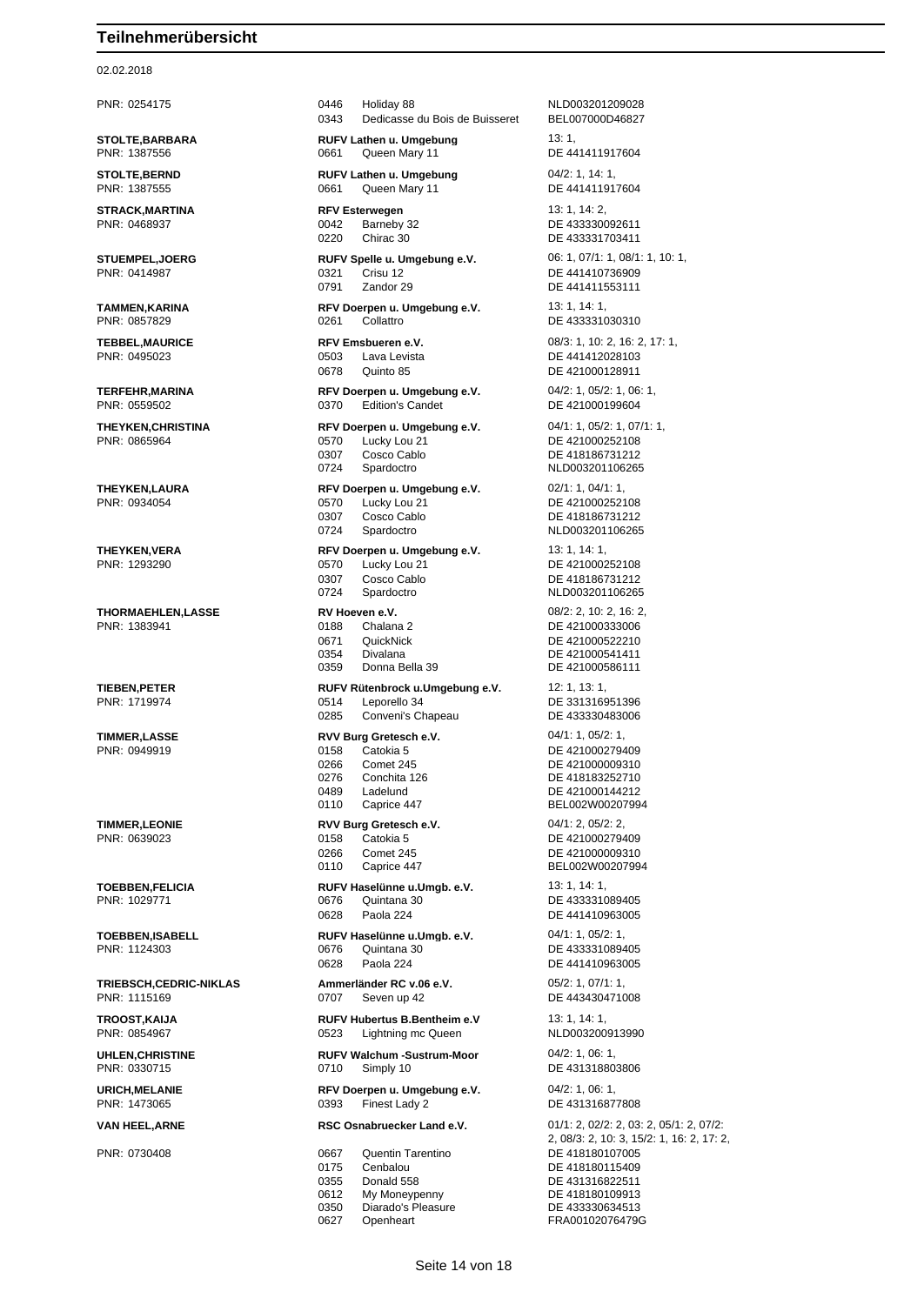#### 02.02.2018

**STOLTE,BARBARA RUFV Lathen u. Umgebung** 13: 1, 13: 1, 13: 1, 19: 1, 15: 1, 15: 1, 16: 1, 16: 1, 16: 1, 16: 1, 16: 1, 16: 1, 16: 1, 16: 1, 16: 1, 16: 1, 16: 1, 16: 1, 16: 1, 16: 1, 16: 1, 16: 1, 16: 1, 16: 1, 16: 1, 16:

**THEYKEN,VERA RFV Doerpen u. Umgebung e.V.** 13: 1, 14: 1,

**TRIEBSCH,CEDRIC-NIKLAS Ammerländer RC v.06 e.V.** 05/2: 1, 07/1: 1, 07/1: 1, 07/1: 1, 07/1: 1, 07/1: 1, 07/1: 1, 07/1: 1, 07/1: 1, 07/1: 07/07 Seven up 42

PNR: 0254175 0446 Holiday 88 NLD003201209028 0343 Dedicasse du Bois de Buisseret BEL007000D46827

0661 Queen Mary 11 DE 441411917604 **STOLTE,BERND RUFV Lathen u. Umgebung** 04/2: 1, 14: 1,

PNR: 1387555 0661 Queen Mary 11 DE 441411917604

0220 Chirac 30 DE 433331703411

PNR: 0414987 0321 Crisu 12 DE 441410736909 0791 Zandor 29 DE 441411553111

**TAMMEN,KARINA RFV Doerpen u. Umgebung e.V.** 13: 1, 14: 1, PNR: 0857829 0261 Collattro DE 433331030310

> PNR: 0495023 0503 Lava Levista DE 441412028103 0678 Quinto 85 DE 421000128911

PNR: 0559502 0370 Edition's Candet DE 421000199604

PNR: 0865964 0570 Lucky Lou 21 DE 421000252108 0307 Cosco Cablo DE 418186731212 0724 Spardoctro NLD003201106265

**THEYKEN,LAURA RFV Doerpen u. Umgebung e.V.** 02/1: 1, 04/1: 1, PNR: 0934054 0570 Lucky Lou 21 DE 421000252108 0307 Cosco Cablo DE 418186731212 0724 Spardoctro NLD003201106265

PNR: 1293290 0570 Lucky Lou 21 DE 421000252108 0307 Cosco Cablo DE 418186731212 0724 Spardoctro NLD003201106265

**THORMAEHLEN,LASSE RV Hoeven e.V.** 08/2: 2, 10: 2, 16: 2, 0671 QuickNick DE 421000522210<br>0354 Divalana DE 421000541411 0354 Divalana DE 421000541411<br>0359 Donna Bella 39 DE 421000586111 0359 Donna Bella 39 DE 421000586111

**TIEBEN,PETER RUFV Rütenbrock u.Umgebung e.V.** 12: 1, 13: 1, PNR: 1719974 0514 Leporello 34 DE 331316951396 0285 Conveni's Chapeau DE 433330483006

0266 Comet 245 DE 421000009310 0489 Ladelund DE 421000144212<br>0110 Caprice 447 DELO02W0020799 0110 Caprice 447 BEL002W00207994

**TIMMER,LEONIE RVV Burg Gretesch e.V.** 04/1: 2, 05/2: 2,

0266 Comet 245 Comet 245 DE 421000009310<br>0110 Caprice 447 Captic Captic CHA BEL002W0020799 **TOEBBEN,FELICIA RUFV Haselünne u.Umgb. e.V.** 13: 1, 14: 1, PNR: 1029771 0676 Quintana 30 DE 433331089405 0628 Paola 224 DE 441410963005

**TOEBBEN,ISABELL RUFV Haselünne u.Umgb. e.V.** 04/1: 1, 05/2: 1, 05/2: 1, 05/2: 1, 05/2: 1, 06/2: 1, 06/2: 1, 06/2: 1, 06/2: 0676 Quintana 30 0676 Quintana 30 DE 433331089405 0628 Paola 224 DE 441410963005

0707 Seven up 42 DE 443430471008

**TROOST,KAIJA RUFV Hubertus B.Bentheim e.V** 13: 1, 14: 1, PNR: 0854967 0523 Lightning mc Queen NLD003200913990

**UHLEN,CHRISTINE RUFV Walchum -Sustrum-Moor** 04/2: 1, 06: 1, PNR: 0330715 0710 Simply 10 DE 431318803806

**URICH,MELANIE RFV Doerpen u. Umgebung e.V.** 04/2: 1, 06: 1, PNR: 1473065 0393 Finest Lady 2 DE 431316877808

PNR: 0730408 0667 Quentin Tarentino DE 418180107005 0175 Cenbalou DE 418180115409<br>0355 Donald 558 DE 431316822511 Donald 558 DE 431316822511 0612 My Moneypenny DE 418180109913 0350 Diarado's Pleasure DE 433330634513 0627 Openheart **FRA00102076479G** 

**STRACK,MARTINA RFV Esterwegen** 13: 1, 14: 2,<br> **PNR**: 0468937 **REXELLENT COMPUSE RATION RATION** 22 **RATION DE** 433330092611 PNR: 0468937 0042 Barneby 32 DE 433330092611 **STUEMPEL,JOERG RUFV Spelle u. Umgebung e.V.** 06: 1, 07/1: 1, 08/1: 1, 10: 1, **TEBBEL,MAURICE RFV Emsbueren e.V.** 08/3: 1, 10: 2, 16: 2, 17: 1, 19. 2, 16: 2, 17: 1, 19. 2, 17: 1, 19. 2, 19. 2, 19. 2, 19. 2, 19. 2, 19. 2, 19. 2, 19. 2, 19. 2, 19. 2, 19. 2, 19. 2, 19. 2, 19. 2, 19. 2, 19. 2, 19. 2, **TERFEHR,MARINA RFV Doerpen u. Umgebung e.V.** 04/2: 1, 05/2: 1, 06: 1, **THEYKEN,CHRISTINA RFV Doerpen u. Umgebung e.V.** 04/1: 1, 05/2: 1, 07/1: 1, DE 421000333006 **TIMMER,LASSE RVV Burg Gretesch e.V.** 04/1: 1, 05/2: 1, PNR: 0949919 0158 Catokia 5 DE 421000279409 DE 418183252710 PNR: 0639023 0158 Catokia 5 DE 421000279409 BEL002W00207994 **VAN HEEL,ARNE RSC Osnabruecker Land e.V.** 01/1: 2, 02/2: 2, 03: 2, 05/1: 2, 07/2: 2, 08/3: 2, 10: 3, 15/2: 1, 16: 2, 17: 2,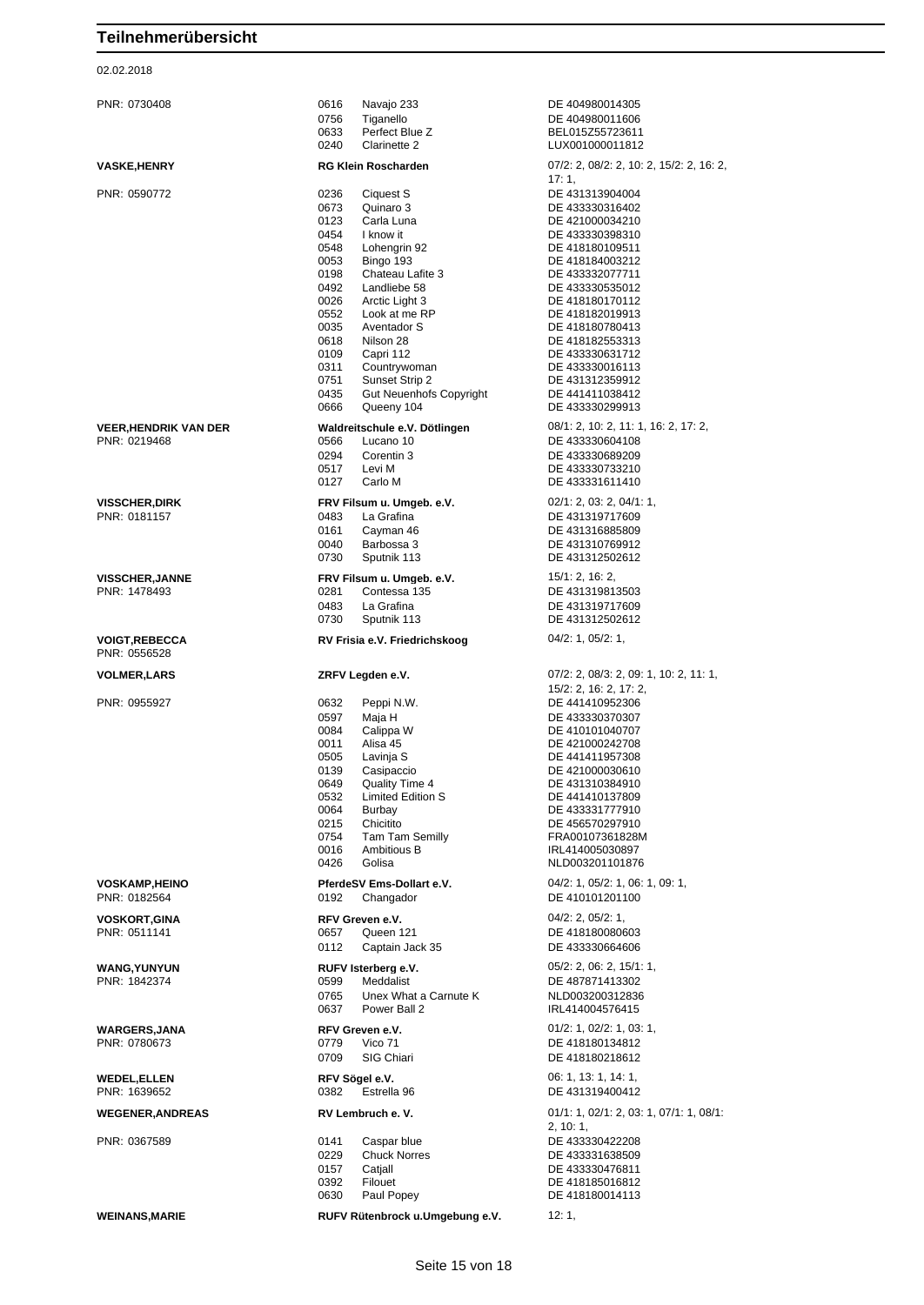| PNR: 0730408                         | 0616<br>Navajo 233                                    | DE 404980014305                                    |
|--------------------------------------|-------------------------------------------------------|----------------------------------------------------|
|                                      | 0756<br>Tiganello                                     | DE 404980011606                                    |
|                                      | 0633<br>Perfect Blue Z<br>0240<br>Clarinette 2        | BEL015Z55723611<br>LUX001000011812                 |
| <b>VASKE,HENRY</b>                   | <b>RG Klein Roscharden</b>                            | 07/2: 2, 08/2: 2, 10: 2, 15/2: 2, 16: 2,           |
|                                      |                                                       | 17:1                                               |
| PNR: 0590772                         | 0236<br>Ciquest S                                     | DE 431313904004                                    |
|                                      | 0673<br>Quinaro 3<br>0123<br>Carla Luna               | DE 433330316402<br>DE 421000034210                 |
|                                      | 0454<br>I know it                                     | DE 433330398310                                    |
|                                      | 0548<br>Lohengrin 92                                  | DE 418180109511                                    |
|                                      | 0053<br>Bingo 193                                     | DE 418184003212                                    |
|                                      | 0198<br>Chateau Lafite 3                              | DE 433332077711                                    |
|                                      | 0492<br>Landliebe 58                                  | DE 433330535012                                    |
|                                      | 0026<br>Arctic Light 3                                | DE 418180170112                                    |
|                                      | 0552<br>Look at me RP                                 | DE 418182019913                                    |
|                                      | 0035<br>Aventador S<br>0618<br>Nilson 28              | DE 418180780413<br>DE 418182553313                 |
|                                      | 0109<br>Capri 112                                     | DE 433330631712                                    |
|                                      | 0311<br>Countrywoman                                  | DE 433330016113                                    |
|                                      | 0751<br>Sunset Strip 2                                | DE 431312359912                                    |
|                                      | 0435<br>Gut Neuenhofs Copyright                       | DE 441411038412                                    |
|                                      | 0666<br>Queeny 104                                    | DE 433330299913                                    |
| <b>VEER, HENDRIK VAN DER</b>         | Waldreitschule e.V. Dötlingen                         | 08/1: 2, 10: 2, 11: 1, 16: 2, 17: 2,               |
| PNR: 0219468                         | 0566<br>Lucano 10                                     | DE 433330604108                                    |
|                                      | 0294<br>Corentin 3                                    | DE 433330689209                                    |
|                                      | 0517<br>Levi M                                        | DE 433330733210                                    |
|                                      | 0127<br>Carlo M                                       | DE 433331611410                                    |
| <b>VISSCHER,DIRK</b>                 | FRV Filsum u. Umgeb. e.V.                             | 02/1: 2, 03: 2, 04/1: 1,                           |
| PNR: 0181157                         | 0483<br>La Grafina                                    | DE 431319717609                                    |
|                                      | 0161<br>Cayman 46                                     | DE 431316885809                                    |
|                                      | 0040<br>Barbossa 3                                    | DE 431310769912                                    |
|                                      | 0730<br>Sputnik 113                                   | DE 431312502612                                    |
| <b>VISSCHER, JANNE</b>               | FRV Filsum u. Umgeb. e.V.                             | 15/1: 2, 16: 2,                                    |
| PNR: 1478493                         | 0281<br>Contessa 135                                  | DE 431319813503                                    |
|                                      | 0483<br>La Grafina<br>0730                            | DE 431319717609<br>DE 431312502612                 |
|                                      | Sputnik 113                                           |                                                    |
| <b>VOIGT,REBECCA</b><br>PNR: 0556528 | RV Frisia e.V. Friedrichskoog                         | 04/2: 1, 05/2: 1,                                  |
|                                      |                                                       |                                                    |
| <b>VOLMER,LARS</b>                   | ZRFV Legden e.V.                                      | 07/2: 2, 08/3: 2, 09: 1, 10: 2, 11: 1,             |
|                                      |                                                       | 15/2: 2, 16: 2, 17: 2,                             |
| PNR: 0955927                         | 0632<br>Peppi N.W.                                    | DE 441410952306                                    |
|                                      | 0597<br>Maja H                                        | DE 433330370307                                    |
|                                      | 0084<br>Calippa W<br>0011<br>Alisa 45                 | DE 410101040707<br>DE 421000242708                 |
|                                      | 0505<br>Lavinja S                                     | DE 441411957308                                    |
|                                      | 0139<br>Casipaccio                                    | DE 421000030610                                    |
|                                      | 0649<br>Quality Time 4                                | DE 431310384910                                    |
|                                      | 0532<br>Limited Edition S                             | DE 441410137809                                    |
|                                      | 0064<br>Burbay                                        | DE 433331777910                                    |
|                                      | 0215<br>Chicitito                                     | DE 456570297910                                    |
|                                      | 0754<br><b>Tam Tam Semilly</b><br>0016<br>Ambitious B | FRA00107361828M<br>IRL414005030897                 |
|                                      | 0426<br>Golisa                                        | NLD003201101876                                    |
|                                      |                                                       |                                                    |
| <b>VOSKAMP,HEINO</b><br>PNR: 0182564 | PferdeSV Ems-Dollart e.V.<br>0192<br>Changador        | 04/2: 1, 05/2: 1, 06: 1, 09: 1,<br>DE 410101201100 |
|                                      |                                                       |                                                    |
| <b>VOSKORT,GINA</b>                  | RFV Greven e.V.                                       | $04/2$ : 2, $05/2$ : 1,                            |
| PNR: 0511141                         | 0657<br>Queen 121<br>0112<br>Captain Jack 35          | DE 418180080603<br>DE 433330664606                 |
|                                      |                                                       |                                                    |
| <b>WANG, YUNYUN</b>                  | RUFV Isterberg e.V.                                   | 05/2: 2, 06: 2, 15/1: 1,                           |
| PNR: 1842374                         | 0599<br>Meddalist                                     | DE 487871413302                                    |
|                                      | 0765<br>Unex What a Carnute K<br>0637<br>Power Ball 2 | NLD003200312836<br>IRL414004576415                 |
|                                      |                                                       |                                                    |
| <b>WARGERS, JANA</b>                 | RFV Greven e.V.                                       | 01/2: 1, 02/2: 1, 03: 1,                           |
| PNR: 0780673                         | 0779<br>Vico 71                                       | DE 418180134812                                    |
|                                      | 0709<br>SIG Chiari                                    | DE 418180218612                                    |
| <b>WEDEL,ELLEN</b>                   | RFV Sögel e.V.                                        | 06: 1, 13: 1, 14: 1,                               |
| PNR: 1639652                         | 0382<br>Estrella 96                                   | DE 431319400412                                    |
| <b>WEGENER, ANDREAS</b>              | RV Lembruch e.V.                                      | $01/1: 1, 02/1: 2, 03: 1, 07/1: 1, 08/1:$          |
|                                      |                                                       | 2, 10:1,                                           |
| PNR: 0367589                         | 0141<br>Caspar blue                                   | DE 433330422208                                    |
|                                      | 0229<br><b>Chuck Norres</b><br>0157<br>Catjall        | DE 433331638509<br>DE 433330476811                 |
|                                      | 0392<br>Filouet                                       | DE 418185016812                                    |
|                                      | 0630<br>Paul Popey                                    | DE 418180014113                                    |
| <b>WEINANS, MARIE</b>                | RUFV Rütenbrock u.Umgebung e.V.                       | 12:1,                                              |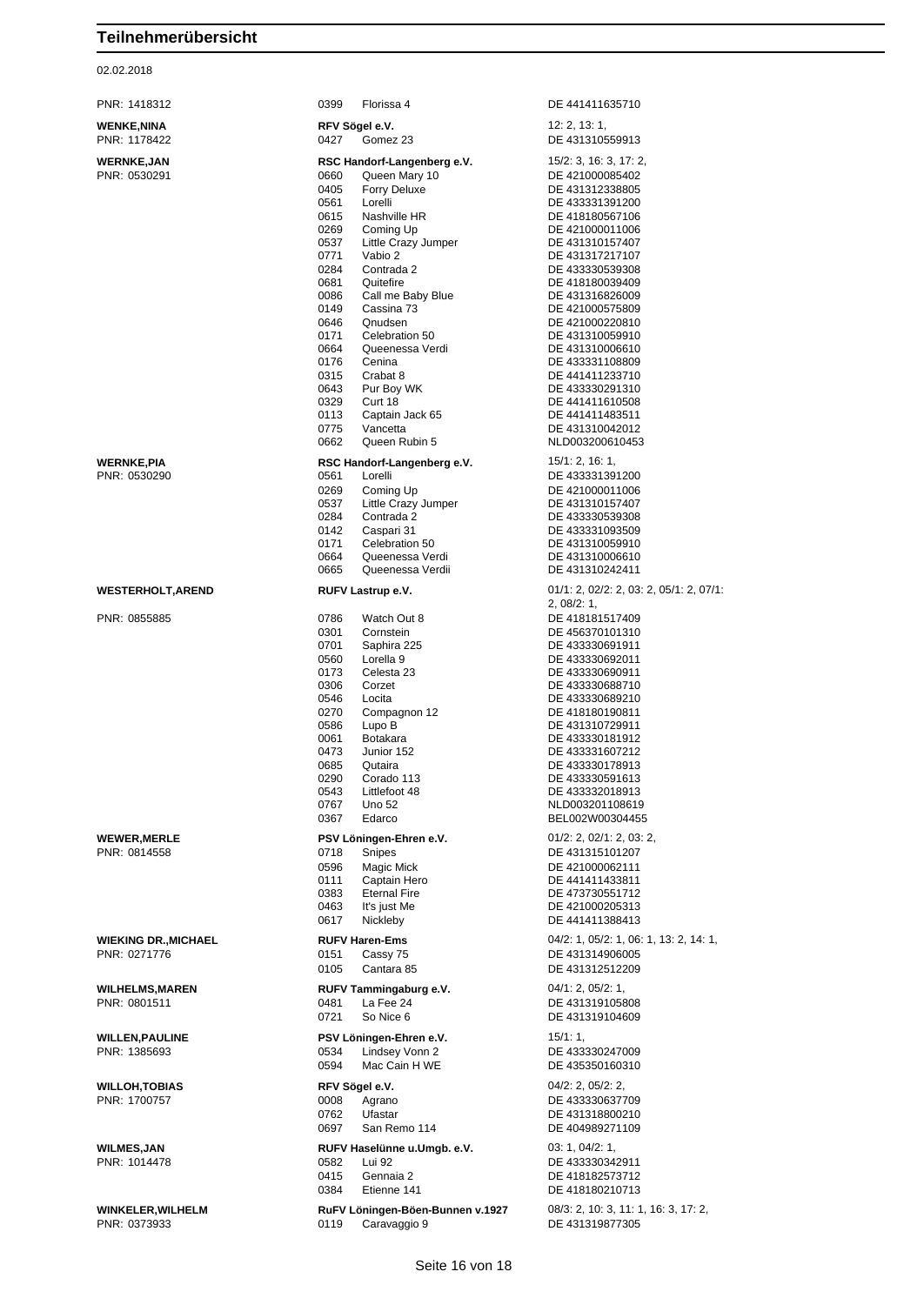| PNR: 1418312                      | 0399<br>Florissa 4                                   | DE 441411635710                           |
|-----------------------------------|------------------------------------------------------|-------------------------------------------|
| <b>WENKE,NINA</b><br>PNR: 1178422 | RFV Sögel e.V.<br>0427<br>Gomez 23                   | 12: 2, 13: 1,<br>DE 431310559913          |
|                                   |                                                      |                                           |
| <b>WERNKE,JAN</b><br>PNR: 0530291 | RSC Handorf-Langenberg e.V.<br>0660<br>Queen Mary 10 | 15/2: 3, 16: 3, 17: 2,<br>DE 421000085402 |
|                                   | 0405<br><b>Forry Deluxe</b>                          | DE 431312338805                           |
|                                   | 0561<br>Lorelli                                      | DE 433331391200                           |
|                                   | 0615<br>Nashville HR                                 | DE 418180567106                           |
|                                   | 0269<br>Coming Up                                    | DE 421000011006                           |
|                                   | 0537<br>Little Crazy Jumper                          | DE 431310157407                           |
|                                   | 0771<br>Vabio 2                                      | DE 431317217107                           |
|                                   | 0284<br>Contrada 2                                   | DE 433330539308                           |
|                                   | 0681<br>Quitefire                                    | DE 418180039409                           |
|                                   | 0086<br>Call me Baby Blue<br>0149<br>Cassina 73      | DE 431316826009<br>DE 421000575809        |
|                                   | 0646<br>Qnudsen                                      | DE 421000220810                           |
|                                   | 0171<br>Celebration 50                               | DE 431310059910                           |
|                                   | 0664<br>Queenessa Verdi                              | DE 431310006610                           |
|                                   | 0176<br>Cenina                                       | DE 433331108809                           |
|                                   | 0315<br>Crabat 8                                     | DE 441411233710                           |
|                                   | 0643<br>Pur Boy WK                                   | DE 433330291310                           |
|                                   | 0329<br>Curt 18                                      | DE 441411610508                           |
|                                   | 0113<br>Captain Jack 65                              | DE 441411483511                           |
|                                   | 0775<br>Vancetta                                     | DE 431310042012                           |
|                                   | 0662<br>Queen Rubin 5                                | NLD003200610453                           |
| WERNKE,PIA                        | RSC Handorf-Langenberg e.V.                          | 15/1: 2, 16: 1,                           |
| PNR: 0530290                      | 0561<br>Lorelli                                      | DE 433331391200                           |
|                                   | 0269<br>Coming Up                                    | DE 421000011006                           |
|                                   | 0537<br>Little Crazy Jumper                          | DE 431310157407                           |
|                                   | 0284<br>Contrada 2                                   | DE 433330539308                           |
|                                   | 0142<br>Caspari 31<br>0171<br>Celebration 50         | DE 433331093509<br>DE 431310059910        |
|                                   | 0664<br>Queenessa Verdi                              | DE 431310006610                           |
|                                   | 0665<br>Queenessa Verdii                             | DE 431310242411                           |
| <b>WESTERHOLT,AREND</b>           | RUFV Lastrup e.V.                                    | $01/1: 2, 02/2: 2, 03: 2, 05/1: 2, 07/1:$ |
|                                   |                                                      | 2,08/2:1,                                 |
| PNR: 0855885                      | 0786<br>Watch Out 8                                  | DE 418181517409                           |
|                                   | 0301<br>Cornstein                                    | DE 456370101310                           |
|                                   | 0701<br>Saphira 225                                  | DE 433330691911                           |
|                                   | 0560<br>Lorella 9                                    | DE 433330692011                           |
|                                   | 0173<br>Celesta 23                                   | DE 433330690911                           |
|                                   | 0306<br>Corzet                                       | DE 433330688710                           |
|                                   | 0546<br>Locita<br>0270<br>Compagnon 12               | DE 433330689210<br>DE 418180190811        |
|                                   | 0586<br>Lupo B                                       | DE 431310729911                           |
|                                   | 0061<br><b>Botakara</b>                              | DE 433330181912                           |
|                                   | 0473<br>Junior 152                                   | DE 433331607212                           |
|                                   | 0685<br>Qutaira                                      | DE 433330178913                           |
|                                   | 0290<br>Corado 113                                   | DE 433330591613                           |
|                                   | 0543<br>Littlefoot 48                                | DE 433332018913                           |
|                                   | 0767<br>Uno 52                                       | NLD003201108619                           |
|                                   | 0367<br>Edarco                                       | BEL002W00304455                           |
| <b>WEWER,MERLE</b>                | PSV Löningen-Ehren e.V.                              | $01/2$ : 2, $02/1$ : 2, 03: 2,            |
| PNR: 0814558                      | 0718<br>Snipes                                       | DE 431315101207                           |
|                                   | 0596<br>Magic Mick                                   | DE 421000062111                           |
|                                   | 0111<br>Captain Hero                                 | DE 441411433811                           |
|                                   | 0383<br><b>Eternal Fire</b>                          | DE 473730551712                           |
|                                   | 0463<br>It's just Me<br>0617<br>Nickleby             | DE 421000205313<br>DE 441411388413        |
|                                   |                                                      |                                           |
| WIEKING DR.,MICHAEL               | <b>RUFV Haren-Ems</b>                                | 04/2: 1, 05/2: 1, 06: 1, 13: 2, 14: 1,    |
| PNR: 0271776                      | Cassy 75<br>0151                                     | DE 431314906005                           |
|                                   | 0105<br>Cantara 85                                   | DE 431312512209                           |
| WILHELMS,MAREN                    | RUFV Tammingaburg e.V.                               | 04/1: 2, 05/2: 1,                         |
| PNR: 0801511                      | 0481<br>La Fee 24                                    | DE 431319105808                           |
|                                   | 0721<br>So Nice 6                                    | DE 431319104609                           |
|                                   |                                                      |                                           |
| <b>WILLEN,PAULINE</b>             | PSV Löningen-Ehren e.V.                              | 15/1:1,                                   |
| PNR: 1385693                      | 0534<br>Lindsey Vonn 2                               | DE 433330247009                           |
|                                   | 0594<br>Mac Cain H WE                                | DE 435350160310                           |
| <b>WILLOH,TOBIAS</b>              | RFV Sögel e.V.                                       | $04/2$ : 2, $05/2$ : 2,                   |
| PNR: 1700757                      | 0008<br>Agrano                                       | DE 433330637709                           |
|                                   | 0762<br>Ufastar                                      | DE 431318800210                           |
|                                   | San Remo 114<br>0697                                 | DE 404989271109                           |
| <b>WILMES,JAN</b>                 | RUFV Haselünne u.Umgb. e.V.                          | 03: 1, 04/2: 1,                           |
| PNR: 1014478                      | Lui 92<br>0582                                       | DE 433330342911                           |
|                                   | 0415<br>Gennaia 2                                    | DE 418182573712                           |
|                                   | 0384<br>Etienne 141                                  | DE 418180210713                           |
| <b>WINKELER,WILHELM</b>           | RuFV Löningen-Böen-Bunnen v.1927                     | 08/3: 2, 10: 3, 11: 1, 16: 3, 17: 2,      |
| PNR: 0373933                      | 0119<br>Caravaggio 9                                 | DE 431319877305                           |
|                                   |                                                      |                                           |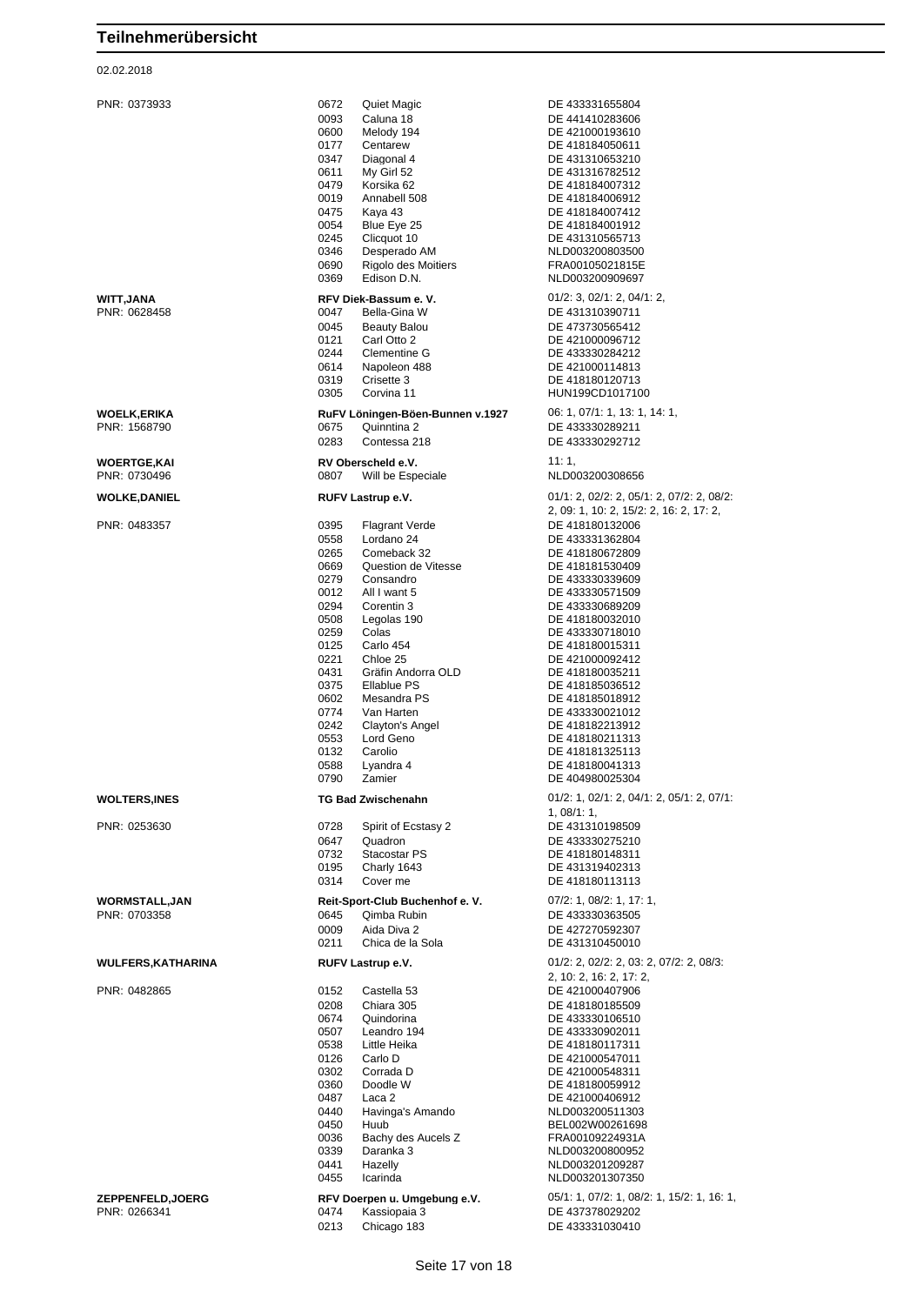| PNR: 0373933                     | 0672<br>Quiet Magic<br>0093<br>Caluna 18<br>0600<br>Melody 194<br>0177<br>Centarew<br>0347<br>Diagonal 4<br>0611<br>My Girl 52<br>0479<br>Korsika 62<br>0019<br>Annabell 508<br>0475<br>Kaya 43<br>0054<br>Blue Eye 25<br>0245<br>Clicquot 10<br>0346<br>Desperado AM<br>0690<br>Rigolo des Moitiers<br>0369<br>Edison D.N.                                                                                                                                        | DE 433331655804<br>DE 441410283606<br>DE 421000193610<br>DE 418184050611<br>DE 431310653210<br>DE 431316782512<br>DE 418184007312<br>DE 418184006912<br>DE 418184007412<br>DE 418184001912<br>DE 431310565713<br>NLD003200803500<br>FRA00105021815E<br>NLD003200909697                                                                                                                                                              |
|----------------------------------|--------------------------------------------------------------------------------------------------------------------------------------------------------------------------------------------------------------------------------------------------------------------------------------------------------------------------------------------------------------------------------------------------------------------------------------------------------------------|-------------------------------------------------------------------------------------------------------------------------------------------------------------------------------------------------------------------------------------------------------------------------------------------------------------------------------------------------------------------------------------------------------------------------------------|
| WITT,JANA<br>PNR: 0628458        | RFV Diek-Bassum e.V.<br>0047<br>Bella-Gina W<br>0045<br><b>Beauty Balou</b><br>0121<br>Carl Otto 2<br>0244<br>Clementine G<br>0614<br>Napoleon 488<br>0319<br>Crisette 3<br>0305<br>Corvina 11                                                                                                                                                                                                                                                                     | $01/2$ : 3, $02/1$ : 2, $04/1$ : 2,<br>DE 431310390711<br>DE 473730565412<br>DE 421000096712<br>DE 433330284212<br>DE 421000114813<br>DE 418180120713<br>HUN199CD1017100                                                                                                                                                                                                                                                            |
| WOELK,ERIKA<br>PNR: 1568790      | RuFV Löningen-Böen-Bunnen v.1927<br>0675<br>Quinntina 2<br>0283<br>Contessa 218                                                                                                                                                                                                                                                                                                                                                                                    | 06: 1, 07/1: 1, 13: 1, 14: 1,<br>DE 433330289211<br>DE 433330292712                                                                                                                                                                                                                                                                                                                                                                 |
| WOERTGE,KAI<br>PNR: 0730496      | RV Oberscheld e.V.<br>0807<br>Will be Especiale                                                                                                                                                                                                                                                                                                                                                                                                                    | 11:1,<br>NLD003200308656                                                                                                                                                                                                                                                                                                                                                                                                            |
| WOLKE,DANIEL                     | RUFV Lastrup e.V.                                                                                                                                                                                                                                                                                                                                                                                                                                                  | 01/1: 2, 02/2: 2, 05/1: 2, 07/2: 2, 08/2:                                                                                                                                                                                                                                                                                                                                                                                           |
| PNR: 0483357                     | 0395<br>Flagrant Verde<br>0558<br>Lordano 24<br>0265<br>Comeback 32<br>0669<br>Question de Vitesse<br>Consandro<br>0279<br>0012<br>All I want 5<br>0294<br>Corentin 3<br>0508<br>Legolas 190<br>0259<br>Colas<br>0125<br>Carlo 454<br>0221<br>Chloe 25<br>0431<br>Gräfin Andorra OLD<br>0375<br>Ellablue PS<br>0602<br>Mesandra PS<br>0774<br>Van Harten<br>0242<br>Clayton's Angel<br>0553<br>Lord Geno<br>0132<br>Carolio<br>0588<br>Lyandra 4<br>0790<br>Zamier | 2, 09: 1, 10: 2, 15/2: 2, 16: 2, 17: 2,<br>DE 418180132006<br>DE 433331362804<br>DE 418180672809<br>DE 418181530409<br>DE 433330339609<br>DE 433330571509<br>DE 433330689209<br>DE 418180032010<br>DE 433330718010<br>DE 418180015311<br>DE 421000092412<br>DE 418180035211<br>DE 418185036512<br>DE 418185018912<br>DE 433330021012<br>DE 418182213912<br>DE 418180211313<br>DE 418181325113<br>DE 418180041313<br>DE 404980025304 |
| <b>WOLTERS,INES</b>              | <b>TG Bad Zwischenahn</b>                                                                                                                                                                                                                                                                                                                                                                                                                                          | $01/2$ : 1, $02/1$ : 2, $04/1$ : 2, $05/1$ : 2, $07/1$ :<br>1,08/1:1,                                                                                                                                                                                                                                                                                                                                                               |
| PNR: 0253630                     | 0728<br>Spirit of Ecstasy 2<br>0647<br>Quadron<br>0732<br>Stacostar PS<br>0195<br>Charly 1643<br>0314<br>Cover me                                                                                                                                                                                                                                                                                                                                                  | DE 431310198509<br>DE 433330275210<br>DE 418180148311<br>DE 431319402313<br>DE 418180113113                                                                                                                                                                                                                                                                                                                                         |
| WORMSTALL,JAN<br>PNR: 0703358    | Reit-Sport-Club Buchenhof e. V.<br>0645<br>Qimba Rubin<br>0009<br>Aida Diva 2<br>0211<br>Chica de la Sola                                                                                                                                                                                                                                                                                                                                                          | 07/2: 1, 08/2: 1, 17: 1,<br>DE 433330363505<br>DE 427270592307<br>DE 431310450010                                                                                                                                                                                                                                                                                                                                                   |
| WULFERS,KATHARINA                | RUFV Lastrup e.V.                                                                                                                                                                                                                                                                                                                                                                                                                                                  | 01/2: 2, 02/2: 2, 03: 2, 07/2: 2, 08/3:                                                                                                                                                                                                                                                                                                                                                                                             |
| PNR: 0482865                     | 0152<br>Castella 53<br>0208<br>Chiara 305<br>0674<br>Quindorina<br>0507<br>Leandro 194<br>0538<br>Little Heika<br>0126<br>Carlo D<br>0302<br>Corrada D<br>0360<br>Doodle W<br>0487<br>Laca 2<br>0440<br>Havinga's Amando<br>0450<br>Huub<br>0036<br>Bachy des Aucels Z<br>0339<br>Daranka 3<br>0441<br>Hazelly<br>0455<br>Icarinda                                                                                                                                 | 2, 10: 2, 16: 2, 17: 2,<br>DE 421000407906<br>DE 418180185509<br>DE 433330106510<br>DE 433330902011<br>DE 418180117311<br>DE 421000547011<br>DE 421000548311<br>DE 418180059912<br>DE 421000406912<br>NLD003200511303<br>BEL002W00261698<br>FRA00109224931A<br>NLD003200800952<br>NLD003201209287<br>NLD003201307350                                                                                                                |
| ZEPPENFELD,JOERG<br>PNR: 0266341 | RFV Doerpen u. Umgebung e.V.<br>0474<br>Kassiopaia 3<br>0213<br>Chicago 183                                                                                                                                                                                                                                                                                                                                                                                        | 05/1: 1, 07/2: 1, 08/2: 1, 15/2: 1, 16: 1,<br>DE 437378029202<br>DE 433331030410                                                                                                                                                                                                                                                                                                                                                    |